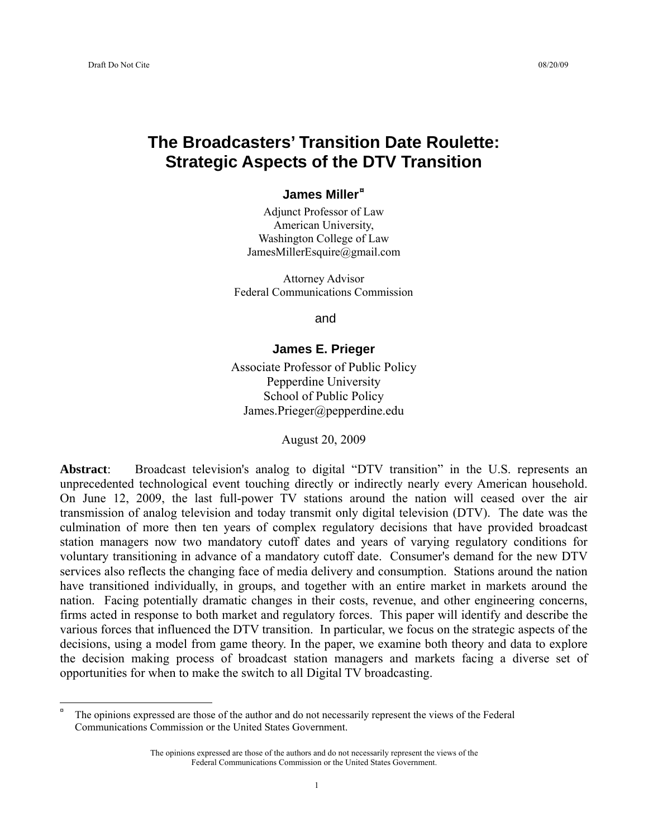$\overline{a}$ 

# **The Broadcasters' Transition Date Roulette: Strategic Aspects of the DTV Transition**

#### **James Miller[¤](#page-0-0)**

Adjunct Professor of Law American University, Washington College of Law JamesMillerEsquire@gmail.com

Attorney Advisor Federal Communications Commission

and

### **James E. Prieger**

Associate Professor of Public Policy Pepperdine University School of Public Policy James.Prieger@pepperdine.edu

August 20, 2009

**Abstract**: Broadcast television's analog to digital "DTV transition" in the U.S. represents an unprecedented technological event touching directly or indirectly nearly every American household. On June 12, 2009, the last full-power TV stations around the nation will ceased over the air transmission of analog television and today transmit only digital television (DTV). The date was the culmination of more then ten years of complex regulatory decisions that have provided broadcast station managers now two mandatory cutoff dates and years of varying regulatory conditions for voluntary transitioning in advance of a mandatory cutoff date. Consumer's demand for the new DTV services also reflects the changing face of media delivery and consumption. Stations around the nation have transitioned individually, in groups, and together with an entire market in markets around the nation. Facing potentially dramatic changes in their costs, revenue, and other engineering concerns, firms acted in response to both market and regulatory forces. This paper will identify and describe the various forces that influenced the DTV transition. In particular, we focus on the strategic aspects of the decisions, using a model from game theory. In the paper, we examine both theory and data to explore the decision making process of broadcast station managers and markets facing a diverse set of opportunities for when to make the switch to all Digital TV broadcasting.

<span id="page-0-0"></span><sup>¤</sup> The opinions expressed are those of the author and do not necessarily represent the views of the Federal Communications Commission or the United States Government.

The opinions expressed are those of the authors and do not necessarily represent the views of the Federal Communications Commission or the United States Government.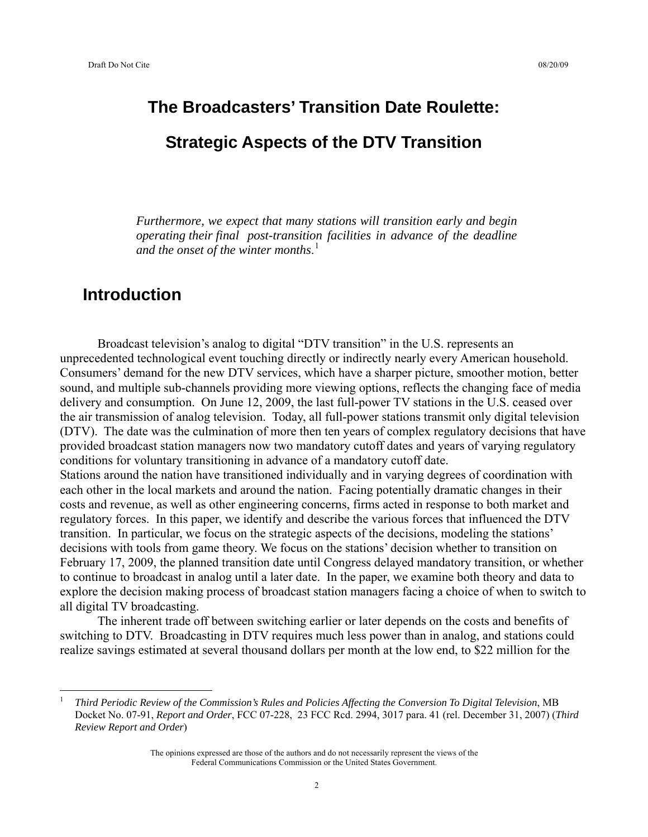# **The Broadcasters' Transition Date Roulette: Strategic Aspects of the DTV Transition**

*Furthermore, we expect that many stations will transition early and begin operating their final post-transition facilities in advance of the deadline and the onset of the winter months*. [1](#page-1-0)

# **Introduction**

 $\overline{a}$ 

 Broadcast television's analog to digital "DTV transition" in the U.S. represents an unprecedented technological event touching directly or indirectly nearly every American household. Consumers' demand for the new DTV services, which have a sharper picture, smoother motion, better sound, and multiple sub-channels providing more viewing options, reflects the changing face of media delivery and consumption. On June 12, 2009, the last full-power TV stations in the U.S. ceased over the air transmission of analog television. Today, all full-power stations transmit only digital television (DTV). The date was the culmination of more then ten years of complex regulatory decisions that have provided broadcast station managers now two mandatory cutoff dates and years of varying regulatory conditions for voluntary transitioning in advance of a mandatory cutoff date.

Stations around the nation have transitioned individually and in varying degrees of coordination with each other in the local markets and around the nation. Facing potentially dramatic changes in their costs and revenue, as well as other engineering concerns, firms acted in response to both market and regulatory forces. In this paper, we identify and describe the various forces that influenced the DTV transition. In particular, we focus on the strategic aspects of the decisions, modeling the stations' decisions with tools from game theory. We focus on the stations' decision whether to transition on February 17, 2009, the planned transition date until Congress delayed mandatory transition, or whether to continue to broadcast in analog until a later date. In the paper, we examine both theory and data to explore the decision making process of broadcast station managers facing a choice of when to switch to all digital TV broadcasting.

 The inherent trade off between switching earlier or later depends on the costs and benefits of switching to DTV. Broadcasting in DTV requires much less power than in analog, and stations could realize savings estimated at several thousand dollars per month at the low end, to \$22 million for the

<span id="page-1-0"></span><sup>1</sup>  *Third Periodic Review of the Commission's Rules and Policies Affecting the Conversion To Digital Television*, MB Docket No. 07-91, *Report and Order*, FCC 07-228, 23 FCC Rcd. 2994, 3017 para. 41 (rel. December 31, 2007) (*Third Review Report and Order*)

The opinions expressed are those of the authors and do not necessarily represent the views of the Federal Communications Commission or the United States Government.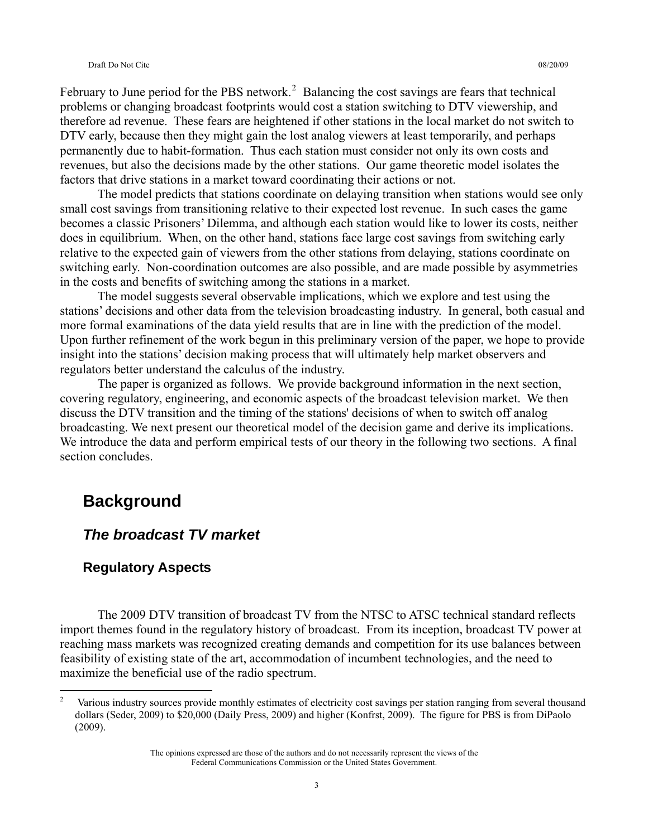February to June period for the PBS network.<sup>[2](#page-2-0)</sup> Balancing the cost savings are fears that technical problems or changing broadcast footprints would cost a station switching to DTV viewership, and therefore ad revenue. These fears are heightened if other stations in the local market do not switch to DTV early, because then they might gain the lost analog viewers at least temporarily, and perhaps permanently due to habit-formation. Thus each station must consider not only its own costs and revenues, but also the decisions made by the other stations. Our game theoretic model isolates the factors that drive stations in a market toward coordinating their actions or not.

 The model predicts that stations coordinate on delaying transition when stations would see only small cost savings from transitioning relative to their expected lost revenue. In such cases the game becomes a classic Prisoners' Dilemma, and although each station would like to lower its costs, neither does in equilibrium. When, on the other hand, stations face large cost savings from switching early relative to the expected gain of viewers from the other stations from delaying, stations coordinate on switching early. Non-coordination outcomes are also possible, and are made possible by asymmetries in the costs and benefits of switching among the stations in a market.

 The model suggests several observable implications, which we explore and test using the stations' decisions and other data from the television broadcasting industry. In general, both casual and more formal examinations of the data yield results that are in line with the prediction of the model. Upon further refinement of the work begun in this preliminary version of the paper, we hope to provide insight into the stations' decision making process that will ultimately help market observers and regulators better understand the calculus of the industry.

 The paper is organized as follows. We provide background information in the next section, covering regulatory, engineering, and economic aspects of the broadcast television market. We then discuss the DTV transition and the timing of the stations' decisions of when to switch off analog broadcasting. We next present our theoretical model of the decision game and derive its implications. We introduce the data and perform empirical tests of our theory in the following two sections. A final section concludes.

# **Background**

 $\overline{a}$ 

### *The broadcast TV market*

### **Regulatory Aspects**

 The 2009 DTV transition of broadcast TV from the NTSC to ATSC technical standard reflects import themes found in the regulatory history of broadcast. From its inception, broadcast TV power at reaching mass markets was recognized creating demands and competition for its use balances between feasibility of existing state of the art, accommodation of incumbent technologies, and the need to maximize the beneficial use of the radio spectrum.

<span id="page-2-0"></span><sup>2</sup> Various industry sources provide monthly estimates of electricity cost savings per station ranging from several thousand dollars (Seder, 2009) to \$20,000 (Daily Press, 2009) and higher (Konfrst, 2009). The figure for PBS is from DiPaolo (2009).

The opinions expressed are those of the authors and do not necessarily represent the views of the Federal Communications Commission or the United States Government.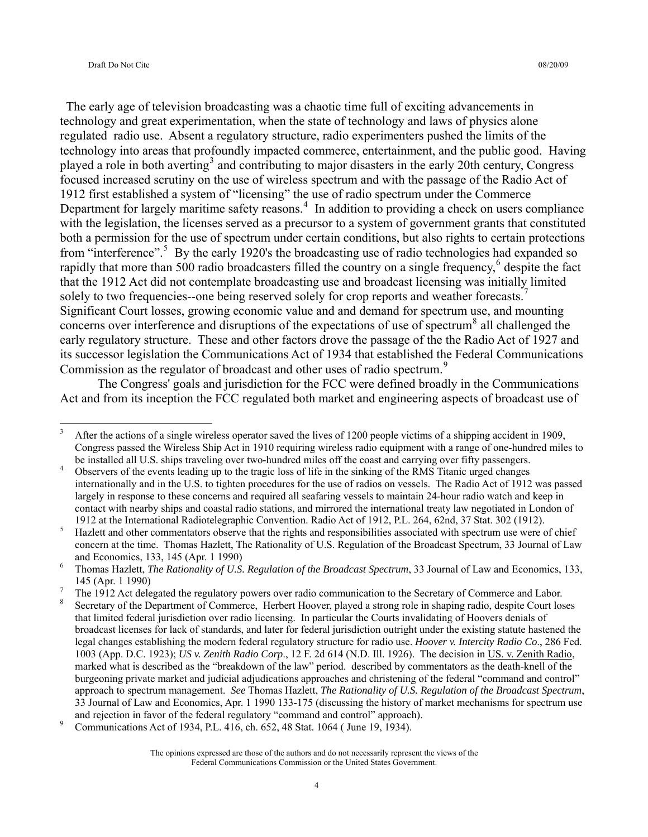$\overline{a}$ 

 The early age of television broadcasting was a chaotic time full of exciting advancements in technology and great experimentation, when the state of technology and laws of physics alone regulated radio use. Absent a regulatory structure, radio experimenters pushed the limits of the technology into areas that profoundly impacted commerce, entertainment, and the public good. Having played a role in both averting<sup>[3](#page-3-0)</sup> and contributing to major disasters in the early 20th century, Congress focused increased scrutiny on the use of wireless spectrum and with the passage of the Radio Act of 1912 first established a system of "licensing" the use of radio spectrum under the Commerce Department for largely maritime safety reasons.<sup>[4](#page-3-1)</sup> In addition to providing a check on users compliance with the legislation, the licenses served as a precursor to a system of government grants that constituted both a permission for the use of spectrum under certain conditions, but also rights to certain protections from "interference".<sup>[5](#page-3-2)</sup> By the early 1920's the broadcasting use of radio technologies had expanded so rapidly that more than 500 radio broadcasters filled the country on a single frequency, $6$  despite the fact that the 1912 Act did not contemplate broadcasting use and broadcast licensing was initially limited solely to two frequencies--one being reserved solely for crop reports and weather forecasts.<sup>[7](#page-3-4)</sup> Significant Court losses, growing economic value and and demand for spectrum use, and mounting concerns over interference and disruptions of the expectations of use of spectrum $\delta$  all challenged the early regulatory structure. These and other factors drove the passage of the the Radio Act of 1927 and its successor legislation the Communications Act of 1934 that established the Federal Communications Commission as the regulator of broadcast and other uses of radio spectrum.<sup>[9](#page-3-6)</sup>

 The Congress' goals and jurisdiction for the FCC were defined broadly in the Communications Act and from its inception the FCC regulated both market and engineering aspects of broadcast use of

<span id="page-3-0"></span><sup>3</sup> After the actions of a single wireless operator saved the lives of 1200 people victims of a shipping accident in 1909, Congress passed the Wireless Ship Act in 1910 requiring wireless radio equipment with a range of one-hundred miles to be installed all U.S. ships traveling over two-hundred miles off the coast and carrying over fifty passengers.<br>4. Observers of the currical and in a unit of the tracial association the sinking of the DAS Titonic unsed shap

<span id="page-3-1"></span>Observers of the events leading up to the tragic loss of life in the sinking of the RMS Titanic urged changes internationally and in the U.S. to tighten procedures for the use of radios on vessels. The Radio Act of 1912 was passed largely in response to these concerns and required all seafaring vessels to maintain 24-hour radio watch and keep in contact with nearby ships and coastal radio stations, and mirrored the international treaty law negotiated in London of 1912 at the International Radiotelegraphic Convention. Radio Act of 1912, P.L. 264, 62nd, 37 Stat. 302 (1912). 5

<span id="page-3-2"></span>Hazlett and other commentators observe that the rights and responsibilities associated with spectrum use were of chief concern at the time. Thomas Hazlett, The Rationality of U.S. Regulation of the Broadcast Spectrum, 33 Journal of Law and Economics, 133, 145 (Apr. 1 1990)

<span id="page-3-3"></span>Thomas Hazlett, *The Rationality of U.S. Regulation of the Broadcast Spectrum*, 33 Journal of Law and Economics, 133,  $145$  (Apr. 1 1990)

<span id="page-3-4"></span>The 1912 Act delegated the regulatory powers over radio communication to the Secretary of Commerce and Labor.

<span id="page-3-5"></span><sup>8</sup> Secretary of the Department of Commerce, Herbert Hoover, played a strong role in shaping radio, despite Court loses that limited federal jurisdiction over radio licensing. In particular the Courts invalidating of Hoovers denials of broadcast licenses for lack of standards, and later for federal jurisdiction outright under the existing statute hastened the legal changes establishing the modern federal regulatory structure for radio use. *Hoover v. Intercity Radio Co*., 286 Fed. 1003 (App. D.C. 1923); *US v. Zenith Radio Corp*., 12 F. 2d 614 (N.D. Ill. 1926). The decision in US. v. Zenith Radio, marked what is described as the "breakdown of the law" period. described by commentators as the death-knell of the burgeoning private market and judicial adjudications approaches and christening of the federal "command and control" approach to spectrum management. *See* Thomas Hazlett, *The Rationality of U.S. Regulation of the Broadcast Spectrum*, 33 Journal of Law and Economics, Apr. 1 1990 133-175 (discussing the history of market mechanisms for spectrum use and rejection in favor of the federal regulatory "command and control" approach).

<span id="page-3-6"></span>Communications Act of 1934, P.L. 416, ch. 652, 48 Stat. 1064 ( June 19, 1934).

The opinions expressed are those of the authors and do not necessarily represent the views of the Federal Communications Commission or the United States Government.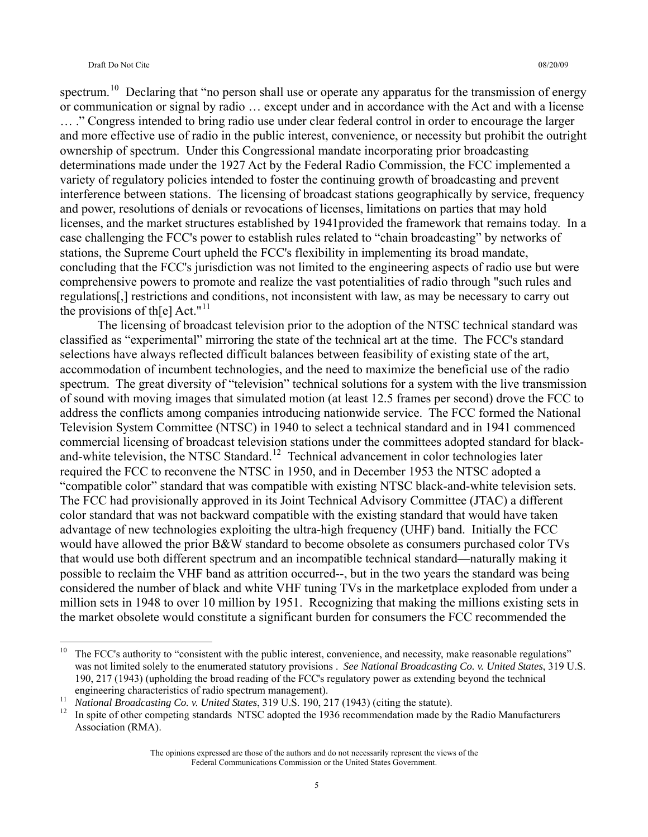spectrum.<sup>[10](#page-4-0)</sup> Declaring that "no person shall use or operate any apparatus for the transmission of energy or communication or signal by radio … except under and in accordance with the Act and with a license … ." Congress intended to bring radio use under clear federal control in order to encourage the larger and more effective use of radio in the public interest, convenience, or necessity but prohibit the outright ownership of spectrum. Under this Congressional mandate incorporating prior broadcasting determinations made under the 1927 Act by the Federal Radio Commission, the FCC implemented a variety of regulatory policies intended to foster the continuing growth of broadcasting and prevent interference between stations. The licensing of broadcast stations geographically by service, frequency and power, resolutions of denials or revocations of licenses, limitations on parties that may hold licenses, and the market structures established by 1941provided the framework that remains today. In a case challenging the FCC's power to establish rules related to "chain broadcasting" by networks of stations, the Supreme Court upheld the FCC's flexibility in implementing its broad mandate, concluding that the FCC's jurisdiction was not limited to the engineering aspects of radio use but were comprehensive powers to promote and realize the vast potentialities of radio through "such rules and regulations[,] restrictions and conditions, not inconsistent with law, as may be necessary to carry out the provisions of the  $|Act."$ <sup>[11](#page-4-1)</sup>

 The licensing of broadcast television prior to the adoption of the NTSC technical standard was classified as "experimental" mirroring the state of the technical art at the time. The FCC's standard selections have always reflected difficult balances between feasibility of existing state of the art, accommodation of incumbent technologies, and the need to maximize the beneficial use of the radio spectrum. The great diversity of "television" technical solutions for a system with the live transmission of sound with moving images that simulated motion (at least 12.5 frames per second) drove the FCC to address the conflicts among companies introducing nationwide service. The FCC formed the National Television System Committee (NTSC) in 1940 to select a technical standard and in 1941 commenced commercial licensing of broadcast television stations under the committees adopted standard for black-and-white television, the NTSC Standard.<sup>[12](#page-4-2)</sup> Technical advancement in color technologies later required the FCC to reconvene the NTSC in 1950, and in December 1953 the NTSC adopted a "compatible color" standard that was compatible with existing NTSC black-and-white television sets. The FCC had provisionally approved in its Joint Technical Advisory Committee (JTAC) a different color standard that was not backward compatible with the existing standard that would have taken advantage of new technologies exploiting the ultra-high frequency (UHF) band. Initially the FCC would have allowed the prior B&W standard to become obsolete as consumers purchased color TVs that would use both different spectrum and an incompatible technical standard—naturally making it possible to reclaim the VHF band as attrition occurred--, but in the two years the standard was being considered the number of black and white VHF tuning TVs in the marketplace exploded from under a million sets in 1948 to over 10 million by 1951. Recognizing that making the millions existing sets in the market obsolete would constitute a significant burden for consumers the FCC recommended the

<span id="page-4-0"></span> $10\,$ The FCC's authority to "consistent with the public interest, convenience, and necessity, make reasonable regulations" was not limited solely to the enumerated statutory provisions . *See National Broadcasting Co. v. United States*, 319 U.S. 190, 217 (1943) (upholding the broad reading of the FCC's regulatory power as extending beyond the technical engineering characteristics of radio spectrum management).<br><sup>11</sup> *National Broadcasting Co. v. United States*, 319 U.S. 190, 217 (1943) (citing the statute).<br><sup>12</sup> In spite of other competing standards NTSC adopted the 1936

<span id="page-4-1"></span>

<span id="page-4-2"></span>Association (RMA).

The opinions expressed are those of the authors and do not necessarily represent the views of the Federal Communications Commission or the United States Government.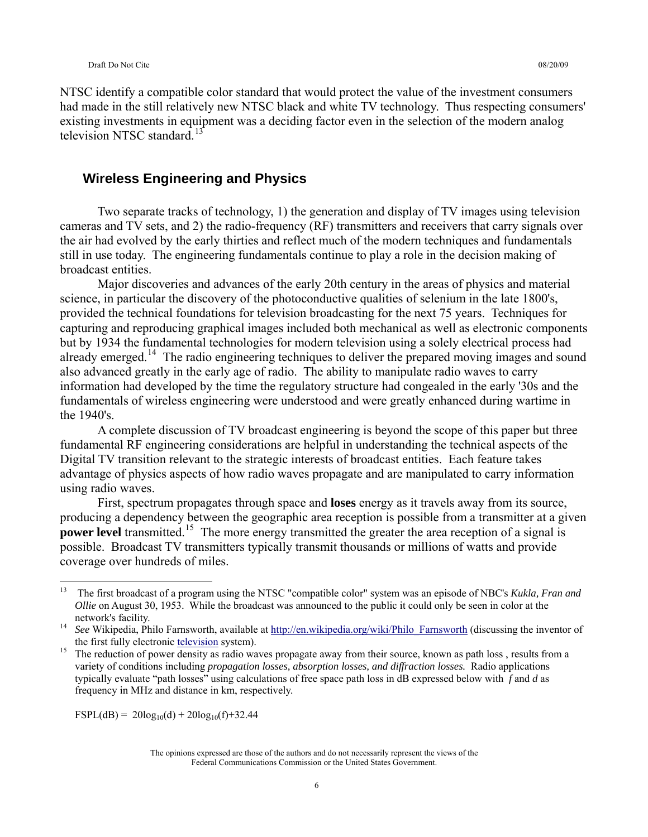NTSC identify a compatible color standard that would protect the value of the investment consumers had made in the still relatively new NTSC black and white TV technology. Thus respecting consumers' existing investments in equipment was a deciding factor even in the selection of the modern analog television NTSC standard.<sup>[13](#page-5-0)</sup>

### **Wireless Engineering and Physics**

 Two separate tracks of technology, 1) the generation and display of TV images using television cameras and TV sets, and 2) the radio-frequency (RF) transmitters and receivers that carry signals over the air had evolved by the early thirties and reflect much of the modern techniques and fundamentals still in use today. The engineering fundamentals continue to play a role in the decision making of broadcast entities.

 Major discoveries and advances of the early 20th century in the areas of physics and material science, in particular the discovery of the photoconductive qualities of selenium in the late 1800's, provided the technical foundations for television broadcasting for the next 75 years. Techniques for capturing and reproducing graphical images included both mechanical as well as electronic components but by 1934 the fundamental technologies for modern television using a solely electrical process had already emerged.<sup>[14](#page-5-1)</sup> The radio engineering techniques to deliver the prepared moving images and sound also advanced greatly in the early age of radio. The ability to manipulate radio waves to carry information had developed by the time the regulatory structure had congealed in the early '30s and the fundamentals of wireless engineering were understood and were greatly enhanced during wartime in the 1940's.

 A complete discussion of TV broadcast engineering is beyond the scope of this paper but three fundamental RF engineering considerations are helpful in understanding the technical aspects of the Digital TV transition relevant to the strategic interests of broadcast entities. Each feature takes advantage of physics aspects of how radio waves propagate and are manipulated to carry information using radio waves.

 First, spectrum propagates through space and **loses** energy as it travels away from its source, producing a dependency between the geographic area reception is possible from a transmitter at a given **power level** transmitted.<sup>[15](#page-5-2)</sup> The more energy transmitted the greater the area reception of a signal is possible. Broadcast TV transmitters typically transmit thousands or millions of watts and provide coverage over hundreds of miles.

 $\text{FSPL}(\text{dB}) = 20\log_{10}(\text{d}) + 20\log_{10}(\text{f}) + 32.44$ 

<span id="page-5-0"></span><sup>13</sup> 13 The first broadcast of a program using the NTSC "compatible color" system was an episode of NBC's *Kukla, Fran and Ollie* on August 30, 1953. While the broadcast was announced to the public it could only be seen in color at the

<span id="page-5-1"></span>network's facility. 14 *See* Wikipedia, Philo Farnsworth, available at [http://en.wikipedia.org/wiki/Philo\\_Farnsworth](http://en.wikipedia.org/wiki/Philo_Farnsworth) (discussing the inventor of the first fully electronic [television](http://en.wikipedia.org/wiki/Television) system).<br><sup>15</sup> The reduction of power density as radio waves propagate away from their source, known as path loss, results from a

<span id="page-5-2"></span>variety of conditions including *propagation losses, absorption losses, and diffraction losses.* Radio applications typically evaluate "path losses" using calculations of free space path loss in dB expressed below with *f* and *d* as frequency in MHz and distance in km, respectively.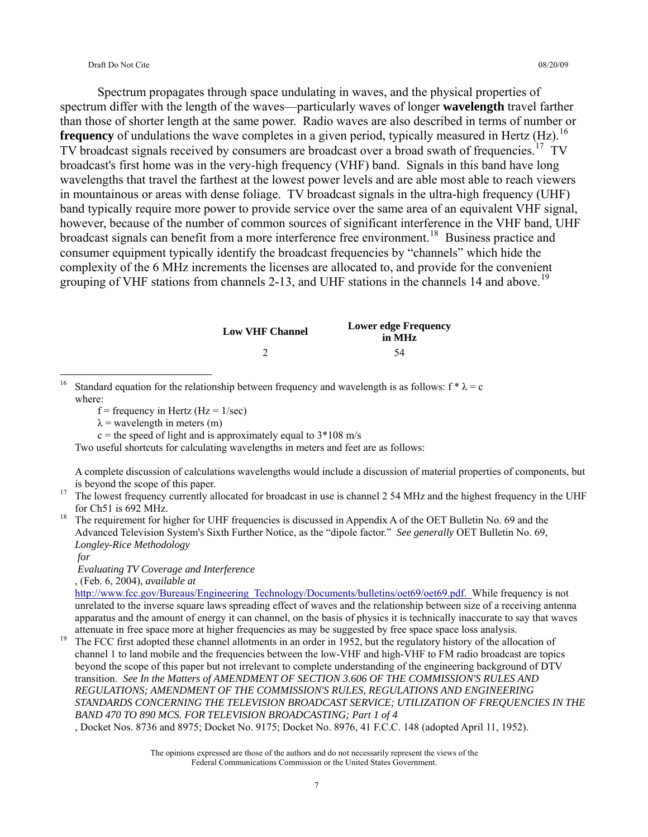Spectrum propagates through space undulating in waves, and the physical properties of spectrum differ with the length of the waves—particularly waves of longer **wavelength** travel farther than those of shorter length at the same power. Radio waves are also described in terms of number or **frequency** of undulations the wave completes in a given period, typically measured in Hertz (Hz).<sup>[16](#page-6-0)</sup> TV broadcast signals received by consumers are broadcast over a broad swath of frequencies.<sup>[17](#page-6-1)</sup> TV broadcast's first home was in the very-high frequency (VHF) band. Signals in this band have long wavelengths that travel the farthest at the lowest power levels and are able most able to reach viewers in mountainous or areas with dense foliage. TV broadcast signals in the ultra-high frequency (UHF) band typically require more power to provide service over the same area of an equivalent VHF signal, however, because of the number of common sources of significant interference in the VHF band, UHF broadcast signals can benefit from a more interference free environment.<sup>[18](#page-6-2)</sup> Business practice and consumer equipment typically identify the broadcast frequencies by "channels" which hide the complexity of the 6 MHz increments the licenses are allocated to, and provide for the convenient grouping of VHF stations from channels 2-13, and UHF stations in the channels 14 and above.<sup>[19](#page-6-3)</sup>

| <b>Low VHF Channel</b> | <b>Lower edge Frequency</b><br>in MHz |
|------------------------|---------------------------------------|
|                        | 54                                    |

<span id="page-6-0"></span> $16$ Standard equation for the relationship between frequency and wavelength is as follows:  $f * \lambda = c$ where:

- $f = \text{frequency in Hertz (Hz} = 1/\text{sec})$
- $\lambda$  = wavelength in meters (m)

 $c$  = the speed of light and is approximately equal to  $3*108$  m/s

Two useful shortcuts for calculating wavelengths in meters and feet are as follows:

A complete discussion of calculations wavelengths would include a discussion of material properties of components, but

<span id="page-6-1"></span><sup>17</sup> The lowest frequency currently allocated for broadcast in use is channel 2 54 MHz and the highest frequency in the UHF

<span id="page-6-2"></span>for Ch51 is 692 MHz. 18 The requirement for higher for UHF frequencies is discussed in Appendix A of the OET Bulletin No. 69 and the Advanced Television System's Sixth Further Notice, as the "dipole factor." *See generally* OET Bulletin No. 69, *Longley-Rice Methodology* 

 *for* 

 *Evaluating TV Coverage and Interference* 

, (Feb. 6, 2004), *available at* 

[http://www.fcc.gov/Bureaus/Engineering\\_Technology/Documents/bulletins/oet69/oet69.pdf.](http://www.fcc.gov/Bureaus/Engineering_Technology/Documents/bulletins/oet69/oet69.pdf) While frequency is not unrelated to the inverse square laws spreading effect of waves and the relationship between size of a receiving antenna apparatus and the amount of energy it can channel, on the basis of physics it is technically inaccurate to say that waves

<span id="page-6-3"></span>attenuate in free space more at higher frequencies as may be suggested by free space space loss analysis.<br><sup>19</sup> The FCC first adopted these channel allotments in an order in 1952, but the regulatory history of the allocatio channel 1 to land mobile and the frequencies between the low-VHF and high-VHF to FM radio broadcast are topics beyond the scope of this paper but not irrelevant to complete understanding of the engineering background of DTV transition. *See In the Matters of AMENDMENT OF SECTION 3.606 OF THE COMMISSION'S RULES AND REGULATIONS; AMENDMENT OF THE COMMISSION'S RULES, REGULATIONS AND ENGINEERING STANDARDS CONCERNING THE TELEVISION BROADCAST SERVICE; UTILIZATION OF FREQUENCIES IN THE BAND 470 TO 890 MCS. FOR TELEVISION BROADCASTING; Part 1 of 4* 

, Docket Nos. 8736 and 8975; Docket No. 9175; Docket No. 8976, 41 F.C.C. 148 (adopted April 11, 1952).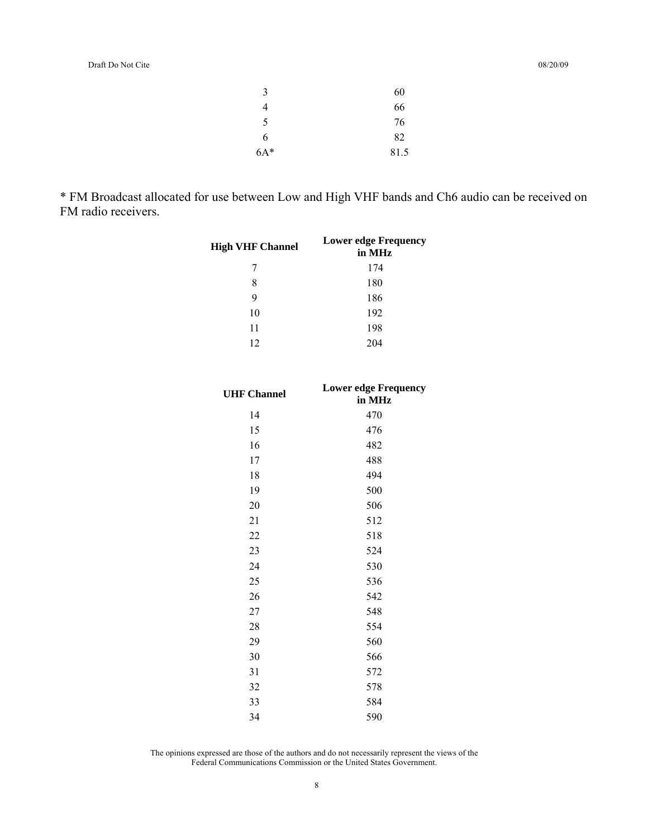| 3     | 60   |
|-------|------|
| 4     | 66   |
| 5     | 76   |
| 6     | 82   |
| $6A*$ | 81.5 |

\* FM Broadcast allocated for use between Low and High VHF bands and Ch6 audio can be received on FM radio receivers.

| <b>High VHF Channel</b> | <b>Lower edge Frequency</b><br>in MHz |
|-------------------------|---------------------------------------|
| 7                       | 174                                   |
| 8                       | 180                                   |
| 9                       | 186                                   |
| 10                      | 192                                   |
| 11                      | 198                                   |
| 12.                     | 204                                   |

| <b>UHF Channel</b> | <b>Lower edge Frequency</b><br>in MHz |
|--------------------|---------------------------------------|
| 14                 | 470                                   |
| 15                 | 476                                   |
| 16                 | 482                                   |
| 17                 | 488                                   |
| 18                 | 494                                   |
| 19                 | 500                                   |
| 20                 | 506                                   |
| 21                 | 512                                   |
| 22                 | 518                                   |
| 23                 | 524                                   |
| 24                 | 530                                   |
| 25                 | 536                                   |
| 26                 | 542                                   |
| 27                 | 548                                   |
| 28                 | 554                                   |
| 29                 | 560                                   |
| 30                 | 566                                   |
| 31                 | 572                                   |
| 32                 | 578                                   |
| 33                 | 584                                   |
| 34                 | 590                                   |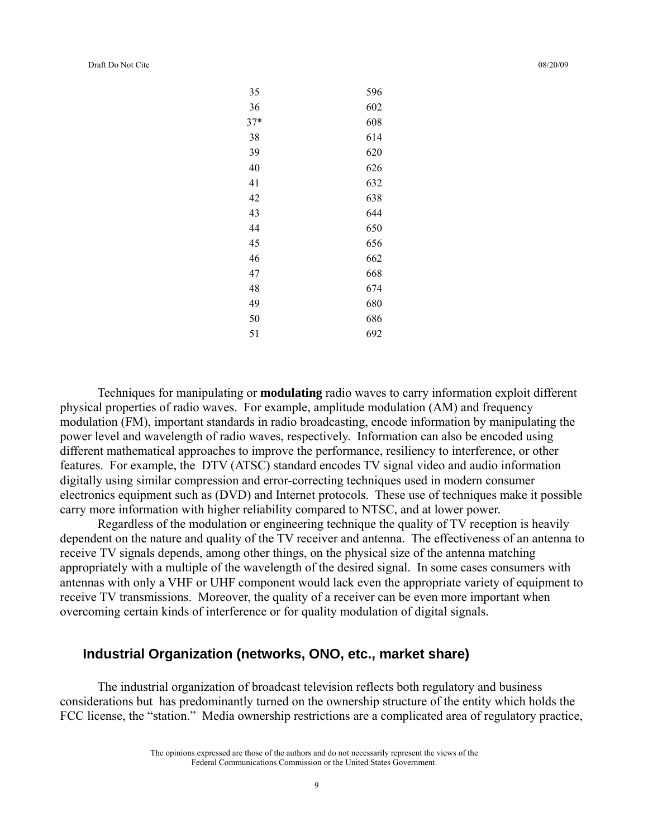Draft Do Not Cite

|  | 08/20/09 |
|--|----------|
|  |          |

| 35    | 596 |
|-------|-----|
| 36    | 602 |
| $37*$ | 608 |
| 38    | 614 |
| 39    | 620 |
| 40    | 626 |
| 41    | 632 |
| 42    | 638 |
| 43    | 644 |
| 44    | 650 |
| 45    | 656 |
| 46    | 662 |
| 47    | 668 |
| 48    | 674 |
| 49    | 680 |
| 50    | 686 |
| 51    | 692 |
|       |     |

 Techniques for manipulating or **modulating** radio waves to carry information exploit different physical properties of radio waves. For example, amplitude modulation (AM) and frequency modulation (FM), important standards in radio broadcasting, encode information by manipulating the power level and wavelength of radio waves, respectively. Information can also be encoded using different mathematical approaches to improve the performance, resiliency to interference, or other features. For example, the DTV (ATSC) standard encodes TV signal video and audio information digitally using similar compression and error-correcting techniques used in modern consumer electronics equipment such as (DVD) and Internet protocols. These use of techniques make it possible carry more information with higher reliability compared to NTSC, and at lower power.

 Regardless of the modulation or engineering technique the quality of TV reception is heavily dependent on the nature and quality of the TV receiver and antenna. The effectiveness of an antenna to receive TV signals depends, among other things, on the physical size of the antenna matching appropriately with a multiple of the wavelength of the desired signal. In some cases consumers with antennas with only a VHF or UHF component would lack even the appropriate variety of equipment to receive TV transmissions. Moreover, the quality of a receiver can be even more important when overcoming certain kinds of interference or for quality modulation of digital signals.

### **Industrial Organization (networks, ONO, etc., market share)**

 The industrial organization of broadcast television reflects both regulatory and business considerations but has predominantly turned on the ownership structure of the entity which holds the FCC license, the "station." Media ownership restrictions are a complicated area of regulatory practice,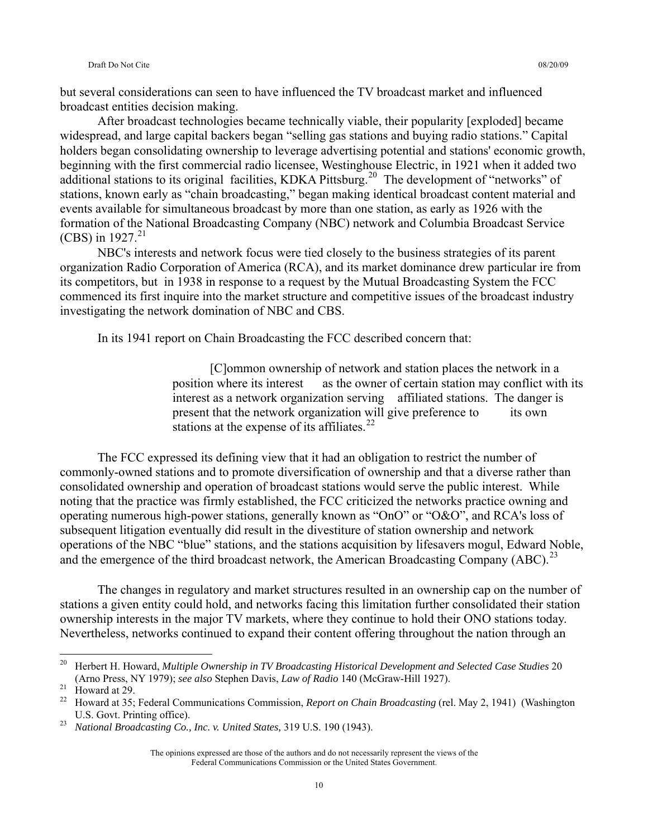but several considerations can seen to have influenced the TV broadcast market and influenced broadcast entities decision making.

 After broadcast technologies became technically viable, their popularity [exploded] became widespread, and large capital backers began "selling gas stations and buying radio stations." Capital holders began consolidating ownership to leverage advertising potential and stations' economic growth, beginning with the first commercial radio licensee, Westinghouse Electric, in 1921 when it added two additional stations to its original facilities, KDKA Pittsburg.<sup>[20](#page-9-0)</sup> The development of "networks" of stations, known early as "chain broadcasting," began making identical broadcast content material and events available for simultaneous broadcast by more than one station, as early as 1926 with the formation of the National Broadcasting Company (NBC) network and Columbia Broadcast Service (CBS) in  $1927.^{21}$  $1927.^{21}$  $1927.^{21}$ 

 NBC's interests and network focus were tied closely to the business strategies of its parent organization Radio Corporation of America (RCA), and its market dominance drew particular ire from its competitors, but in 1938 in response to a request by the Mutual Broadcasting System the FCC commenced its first inquire into the market structure and competitive issues of the broadcast industry investigating the network domination of NBC and CBS.

In its 1941 report on Chain Broadcasting the FCC described concern that:

 [C]ommon ownership of network and station places the network in a position where its interest as the owner of certain station may conflict with its interest as a network organization serving affiliated stations. The danger is present that the network organization will give preference to its own stations at the expense of its affiliates. $^{22}$  $^{22}$  $^{22}$ 

 The FCC expressed its defining view that it had an obligation to restrict the number of commonly-owned stations and to promote diversification of ownership and that a diverse rather than consolidated ownership and operation of broadcast stations would serve the public interest. While noting that the practice was firmly established, the FCC criticized the networks practice owning and operating numerous high-power stations, generally known as "OnO" or "O&O", and RCA's loss of subsequent litigation eventually did result in the divestiture of station ownership and network operations of the NBC "blue" stations, and the stations acquisition by lifesavers mogul, Edward Noble, and the emergence of the third broadcast network, the American Broadcasting Company  $(ABC)$ .<sup>[23](#page-9-3)</sup>

 The changes in regulatory and market structures resulted in an ownership cap on the number of stations a given entity could hold, and networks facing this limitation further consolidated their station ownership interests in the major TV markets, where they continue to hold their ONO stations today. Nevertheless, networks continued to expand their content offering throughout the nation through an

<span id="page-9-0"></span> $20\,$ 20 Herbert H. Howard, *Multiple Ownership in TV Broadcasting Historical Development and Selected Case Studies* 20 (Arno Press, NY 1979); *see also* Stephen Davis, *Law of Radio* 140 (McGraw-Hill 1927). 21 Howard at 29.

<span id="page-9-2"></span><span id="page-9-1"></span><sup>22</sup> Howard at 35; Federal Communications Commission, *Report on Chain Broadcasting* (rel. May 2, 1941) (Washington U.S. Govt. Printing office). 23 *National Broadcasting Co., Inc. v. United States,* 319 U.S. 190 (1943).

<span id="page-9-3"></span>

The opinions expressed are those of the authors and do not necessarily represent the views of the Federal Communications Commission or the United States Government.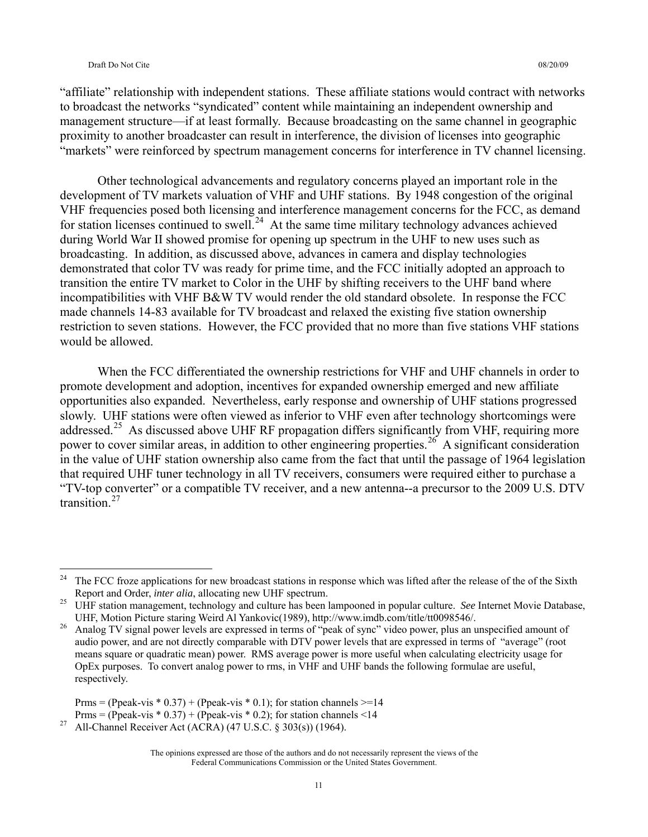$\overline{a}$ 

"affiliate" relationship with independent stations. These affiliate stations would contract with networks to broadcast the networks "syndicated" content while maintaining an independent ownership and management structure—if at least formally. Because broadcasting on the same channel in geographic proximity to another broadcaster can result in interference, the division of licenses into geographic "markets" were reinforced by spectrum management concerns for interference in TV channel licensing.

 Other technological advancements and regulatory concerns played an important role in the development of TV markets valuation of VHF and UHF stations. By 1948 congestion of the original VHF frequencies posed both licensing and interference management concerns for the FCC, as demand for station licenses continued to swell.<sup>[24](#page-10-0)</sup> At the same time military technology advances achieved during World War II showed promise for opening up spectrum in the UHF to new uses such as broadcasting. In addition, as discussed above, advances in camera and display technologies demonstrated that color TV was ready for prime time, and the FCC initially adopted an approach to transition the entire TV market to Color in the UHF by shifting receivers to the UHF band where incompatibilities with VHF B&W TV would render the old standard obsolete. In response the FCC made channels 14-83 available for TV broadcast and relaxed the existing five station ownership restriction to seven stations. However, the FCC provided that no more than five stations VHF stations would be allowed.

 When the FCC differentiated the ownership restrictions for VHF and UHF channels in order to promote development and adoption, incentives for expanded ownership emerged and new affiliate opportunities also expanded. Nevertheless, early response and ownership of UHF stations progressed slowly. UHF stations were often viewed as inferior to VHF even after technology shortcomings were addressed.<sup>[25](#page-10-1)</sup> As discussed above UHF RF propagation differs significantly from VHF, requiring more power to cover similar areas, in addition to other engineering properties.<sup>[26](#page-10-2)</sup> A significant consideration in the value of UHF station ownership also came from the fact that until the passage of 1964 legislation that required UHF tuner technology in all TV receivers, consumers were required either to purchase a "TV-top converter" or a compatible TV receiver, and a new antenna--a precursor to the 2009 U.S. DTV transition $27$ 

<span id="page-10-0"></span><sup>&</sup>lt;sup>24</sup> The FCC froze applications for new broadcast stations in response which was lifted after the release of the of the Sixth Report and Order, *inter alia*, allocating new UHF spectrum.<br><sup>25</sup> UHF station management, technology and culture has been lampooned in popular culture. *See* Internet Movie Database,

<span id="page-10-1"></span>

<span id="page-10-2"></span>UHF, Motion Picture staring Weird Al Yankovic(1989), http://www.imdb.com/title/tt0098546/. 26 Analog TV signal power levels are expressed in terms of "peak of sync" video power, plus an unspecified amount of audio power, and are not directly comparable with DTV power levels that are expressed in terms of "average" (root means square or quadratic mean) power. RMS average power is more useful when calculating electricity usage for OpEx purposes. To convert analog power to rms, in VHF and UHF bands the following formulae are useful, respectively.

Prms = (Ppeak-vis \* 0.37) + (Ppeak-vis \* 0.1); for station channels  $> = 14$ <br>Prms = (Ppeak-vis \* 0.37) + (Ppeak-vis \* 0.2); for station channels <14

<span id="page-10-3"></span><sup>&</sup>lt;sup>27</sup> All-Channel Receiver Act (ACRA) (47 U.S.C. § 303(s)) (1964).

The opinions expressed are those of the authors and do not necessarily represent the views of the Federal Communications Commission or the United States Government.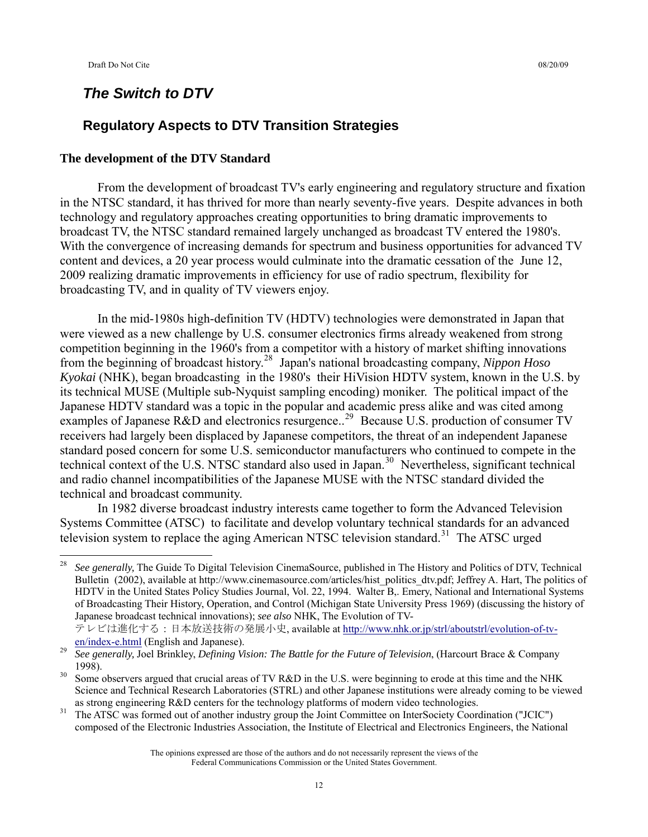### *The Switch to DTV*

## **Regulatory Aspects to DTV Transition Strategies**

#### **The development of the DTV Standard**

 From the development of broadcast TV's early engineering and regulatory structure and fixation in the NTSC standard, it has thrived for more than nearly seventy-five years. Despite advances in both technology and regulatory approaches creating opportunities to bring dramatic improvements to broadcast TV, the NTSC standard remained largely unchanged as broadcast TV entered the 1980's. With the convergence of increasing demands for spectrum and business opportunities for advanced TV content and devices, a 20 year process would culminate into the dramatic cessation of the June 12, 2009 realizing dramatic improvements in efficiency for use of radio spectrum, flexibility for broadcasting TV, and in quality of TV viewers enjoy.

 In the mid-1980s high-definition TV (HDTV) technologies were demonstrated in Japan that were viewed as a new challenge by U.S. consumer electronics firms already weakened from strong competition beginning in the 1960's from a competitor with a history of market shifting innovations from the beginning of broadcast history.[28](#page-11-0) Japan's national broadcasting company, *Nippon Hoso Kyokai* (NHK), began broadcasting in the 1980's their HiVision HDTV system, known in the U.S. by its technical MUSE (Multiple sub-Nyquist sampling encoding) moniker. The political impact of the Japanese HDTV standard was a topic in the popular and academic press alike and was cited among examples of Japanese R&D and electronics resurgence..<sup>[29](#page-11-1)</sup> Because U.S. production of consumer TV receivers had largely been displaced by Japanese competitors, the threat of an independent Japanese standard posed concern for some U.S. semiconductor manufacturers who continued to compete in the technical context of the U.S. NTSC standard also used in Japan.<sup>[30](#page-11-2)</sup> Nevertheless, significant technical and radio channel incompatibilities of the Japanese MUSE with the NTSC standard divided the technical and broadcast community.

 In 1982 diverse broadcast industry interests came together to form the Advanced Television Systems Committee (ATSC) to facilitate and develop voluntary technical standards for an advanced television system to replace the aging American NTSC television standard.<sup>[31](#page-11-3)</sup> The ATSC urged

テレビは進化する:日本放送技術の発展小史, available at [http://www.nhk.or.jp/strl/aboutstrl/evolution-of-tv](http://www.nhk.or.jp/strl/aboutstrl/evolution-of-tv-en/index-e.html)[en/index-e.html](http://www.nhk.or.jp/strl/aboutstrl/evolution-of-tv-en/index-e.html) (English and Japanese). 29 *See generally,* Joel Brinkley, *Defining Vision: The Battle for the Future of Television*, (Harcourt Brace & Company

<span id="page-11-0"></span> $\overline{28}$ <sup>28</sup> *See generally,* The Guide To Digital Television CinemaSource, published in The History and Politics of DTV, Technical Bulletin (2002), available at http://www.cinemasource.com/articles/hist\_politics\_dtv.pdf; Jeffrey A. Hart, The politics of HDTV in the United States Policy Studies Journal, Vol. 22, 1994. Walter B,. Emery, National and International Systems of Broadcasting Their History, Operation, and Control (Michigan State University Press 1969) (discussing the history of Japanese broadcast technical innovations); *see also* NHK, The Evolution of TV-

<span id="page-11-1"></span><sup>1998).&</sup>lt;br>Some observers argued that crucial areas of TV R&D in the U.S. were beginning to erode at this time and the NHK

<span id="page-11-2"></span>Science and Technical Research Laboratories (STRL) and other Japanese institutions were already coming to be viewed

<span id="page-11-3"></span>as strong engineering R&D centers for the technology platforms of modern video technologies.<br><sup>31</sup> The ATSC was formed out of another industry group the Joint Committee on InterSociety Coordination ("JCIC") composed of the Electronic Industries Association, the Institute of Electrical and Electronics Engineers, the National

The opinions expressed are those of the authors and do not necessarily represent the views of the Federal Communications Commission or the United States Government.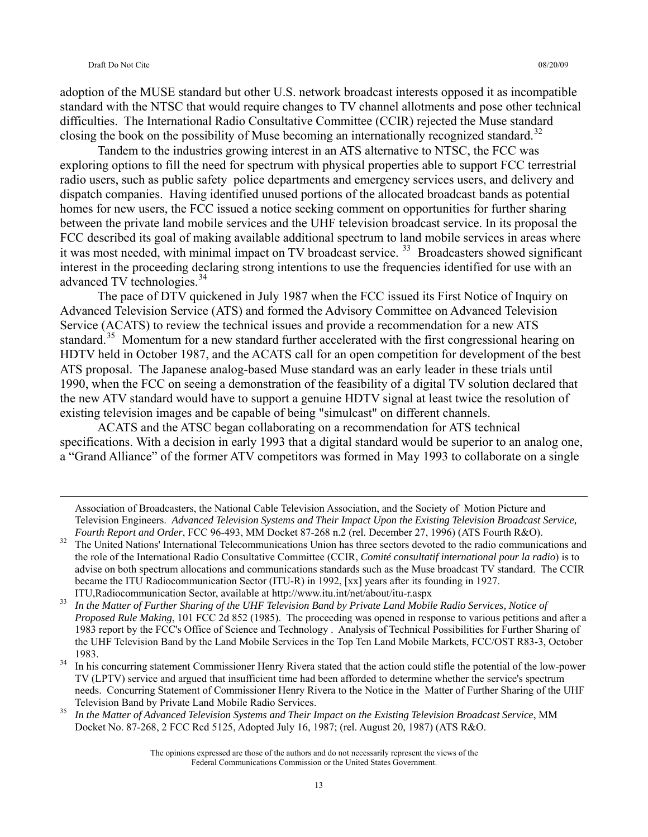adoption of the MUSE standard but other U.S. network broadcast interests opposed it as incompatible standard with the NTSC that would require changes to TV channel allotments and pose other technical difficulties. The International Radio Consultative Committee (CCIR) rejected the Muse standard closing the book on the possibility of Muse becoming an internationally recognized standard.<sup>[32](#page-12-0)</sup>

 Tandem to the industries growing interest in an ATS alternative to NTSC, the FCC was exploring options to fill the need for spectrum with physical properties able to support FCC terrestrial radio users, such as public safety police departments and emergency services users, and delivery and dispatch companies. Having identified unused portions of the allocated broadcast bands as potential homes for new users, the FCC issued a notice seeking comment on opportunities for further sharing between the private land mobile services and the UHF television broadcast service. In its proposal the FCC described its goal of making available additional spectrum to land mobile services in areas where it was most needed, with minimal impact on TV broadcast service.<sup>[33](#page-12-1)</sup> Broadcasters showed significant interest in the proceeding declaring strong intentions to use the frequencies identified for use with an advanced TV technologies.<sup>[34](#page-12-2)</sup>

 The pace of DTV quickened in July 1987 when the FCC issued its First Notice of Inquiry on Advanced Television Service (ATS) and formed the Advisory Committee on Advanced Television Service (ACATS) to review the technical issues and provide a recommendation for a new ATS standard.<sup>[35](#page-12-3)</sup> Momentum for a new standard further accelerated with the first congressional hearing on HDTV held in October 1987, and the ACATS call for an open competition for development of the best ATS proposal. The Japanese analog-based Muse standard was an early leader in these trials until 1990, when the FCC on seeing a demonstration of the feasibility of a digital TV solution declared that the new ATV standard would have to support a genuine HDTV signal at least twice the resolution of existing television images and be capable of being "simulcast" on different channels.

 ACATS and the ATSC began collaborating on a recommendation for ATS technical specifications. With a decision in early 1993 that a digital standard would be superior to an analog one, a "Grand Alliance" of the former ATV competitors was formed in May 1993 to collaborate on a single

Association of Broadcasters, the National Cable Television Association, and the Society of Motion Picture and Television Engineers. *Advanced Television Systems and Their Impact Upon the Existing Television Broadcast Service,*  Fourth Report and Order, FCC 96-493, MM Docket 87-268 n.2 (rel. December 27, 1996) (ATS Fourth R&O).<br><sup>32</sup> The United Nations' International Telecommunications Union has three sectors devoted to the radio communications and

<span id="page-12-0"></span>the role of the International Radio Consultative Committee (CCIR, *Comité consultatif international pour la radio*) is to advise on both spectrum allocations and communications standards such as the Muse broadcast TV standard. The CCIR became the ITU Radiocommunication Sector (ITU-R) in 1992, [xx] years after its founding in 1927.

<span id="page-12-1"></span>ITU,Radiocommunication Sector, available at http://www.itu.int/net/about/itu-r.aspx 33 *In the Matter of Further Sharing of the UHF Television Band by Private Land Mobile Radio Services, Notice of Proposed Rule Making*, 101 FCC 2d 852 (1985). The proceeding was opened in response to various petitions and after a 1983 report by the FCC's Office of Science and Technology . Analysis of Technical Possibilities for Further Sharing of the UHF Television Band by the Land Mobile Services in the Top Ten Land Mobile Markets, FCC/OST R83-3, October 1983.<br>In his concurring statement Commissioner Henry Rivera stated that the action could stifle the potential of the low-power

<span id="page-12-2"></span>TV (LPTV) service and argued that insufficient time had been afforded to determine whether the service's spectrum needs. Concurring Statement of Commissioner Henry Rivera to the Notice in the Matter of Further Sharing of the UHF Television Band by Private Land Mobile Radio Services. 35 *In the Matter of Advanced Television Systems and Their Impact on the Existing Television Broadcast Service*, MM

<span id="page-12-3"></span>Docket No. 87-268, 2 FCC Rcd 5125, Adopted July 16, 1987; (rel. August 20, 1987) (ATS R&O.

The opinions expressed are those of the authors and do not necessarily represent the views of the Federal Communications Commission or the United States Government.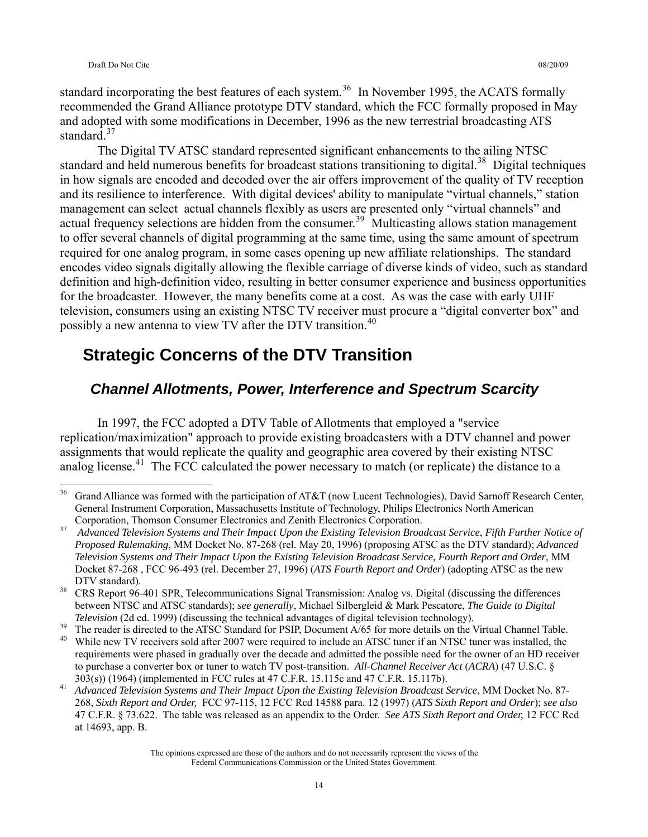standard incorporating the best features of each system.<sup>[36](#page-13-0)</sup> In November 1995, the ACATS formally recommended the Grand Alliance prototype DTV standard, which the FCC formally proposed in May and adopted with some modifications in December, 1996 as the new terrestrial broadcasting ATS standard.<sup>[37](#page-13-1)</sup>

 The Digital TV ATSC standard represented significant enhancements to the ailing NTSC standard and held numerous benefits for broadcast stations transitioning to digital.<sup>[38](#page-13-2)</sup> Digital techniques in how signals are encoded and decoded over the air offers improvement of the quality of TV reception and its resilience to interference. With digital devices' ability to manipulate "virtual channels," station management can select actual channels flexibly as users are presented only "virtual channels" and actual frequency selections are hidden from the consumer.<sup>[39](#page-13-3)</sup> Multicasting allows station management to offer several channels of digital programming at the same time, using the same amount of spectrum required for one analog program, in some cases opening up new affiliate relationships. The standard encodes video signals digitally allowing the flexible carriage of diverse kinds of video, such as standard definition and high-definition video, resulting in better consumer experience and business opportunities for the broadcaster. However, the many benefits come at a cost. As was the case with early UHF television, consumers using an existing NTSC TV receiver must procure a "digital converter box" and possibly a new antenna to view TV after the DTV transition.<sup>[40](#page-13-4)</sup>

# **Strategic Concerns of the DTV Transition**

### *Channel Allotments, Power, Interference and Spectrum Scarcity*

 In 1997, the FCC adopted a DTV Table of Allotments that employed a "service replication/maximization" approach to provide existing broadcasters with a DTV channel and power assignments that would replicate the quality and geographic area covered by their existing NTSC analog license.<sup>[41](#page-13-5)</sup> The FCC calculated the power necessary to match (or replicate) the distance to a

<span id="page-13-0"></span> $36<sup>°</sup>$ 36 Grand Alliance was formed with the participation of AT&T (now Lucent Technologies), David Sarnoff Research Center, General Instrument Corporation, Massachusetts Institute of Technology, Philips Electronics North American

<span id="page-13-1"></span>Corporation, Thomson Consumer Electronics and Zenith Electronics Corporation. 37 *Advanced Television Systems and Their Impact Upon the Existing Television Broadcast Service*, *Fifth Further Notice of Proposed Rulemaking*, MM Docket No. 87-268 (rel. May 20, 1996) (proposing ATSC as the DTV standard); *Advanced Television Systems and Their Impact Upon the Existing Television Broadcast Service, Fourth Report and Order*, MM Docket 87-268 , FCC 96-493 (rel. December 27, 1996) (*ATS Fourth Report and Order*) (adopting ATSC as the new DTV standard).<br><sup>38</sup> CRS Report 96-401 SPR, Telecommunications Signal Transmission: Analog vs. Digital (discussing the differences

<span id="page-13-2"></span>between NTSC and ATSC standards); *see generally*, Michael Silbergleid & Mark Pescatore, *The Guide to Digital* 

<span id="page-13-4"></span><span id="page-13-3"></span>

*Television* (2d ed. 1999) (discussing the technical advantages of digital television technology).<br><sup>39</sup> The reader is directed to the ATSC Standard for PSIP, Document A/65 for more details on the Virtual Channel Table.<br><sup>40</sup> requirements were phased in gradually over the decade and admitted the possible need for the owner of an HD receiver to purchase a converter box or tuner to watch TV post-transition. *All-Channel Receiver Act* (*ACRA*) (47 U.S.C. §

<span id="page-13-5"></span><sup>303(</sup>s)) (1964) (implemented in FCC rules at 47 C.F.R. 15.115c and 47 C.F.R. 15.117b). 41 *Advanced Television Systems and Their Impact Upon the Existing Television Broadcast Service*, MM Docket No. 87- 268, *Sixth Report and Order,* FCC 97-115, 12 FCC Rcd 14588 para. 12 (1997) (*ATS Sixth Report and Order*); *see also*  47 C.F.R. § 73.622. The table was released as an appendix to the Order. *See ATS Sixth Report and Order,* 12 FCC Rcd at 14693, app. B.

The opinions expressed are those of the authors and do not necessarily represent the views of the Federal Communications Commission or the United States Government.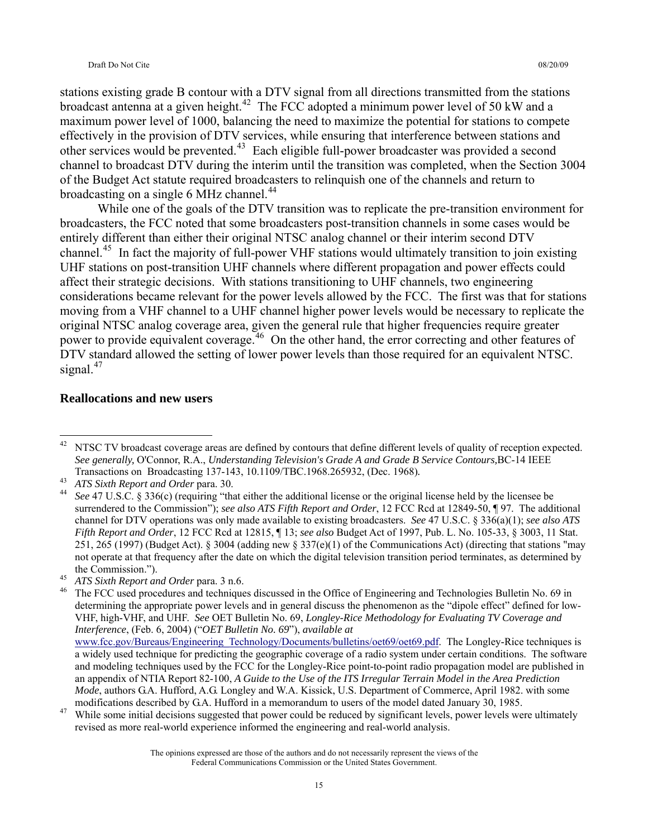stations existing grade B contour with a DTV signal from all directions transmitted from the stations broadcast antenna at a given height.<sup>[42](#page-14-0)</sup> The FCC adopted a minimum power level of 50 kW and a maximum power level of 1000, balancing the need to maximize the potential for stations to compete effectively in the provision of DTV services, while ensuring that interference between stations and other services would be prevented.[43](#page-14-1) Each eligible full-power broadcaster was provided a second channel to broadcast DTV during the interim until the transition was completed, when the Section 3004 of the Budget Act statute required broadcasters to relinquish one of the channels and return to broadcasting on a single 6 MHz channel.<sup>[44](#page-14-2)</sup>

 While one of the goals of the DTV transition was to replicate the pre-transition environment for broadcasters, the FCC noted that some broadcasters post-transition channels in some cases would be entirely different than either their original NTSC analog channel or their interim second DTV channel.[45](#page-14-3) In fact the majority of full-power VHF stations would ultimately transition to join existing UHF stations on post-transition UHF channels where different propagation and power effects could affect their strategic decisions. With stations transitioning to UHF channels, two engineering considerations became relevant for the power levels allowed by the FCC. The first was that for stations moving from a VHF channel to a UHF channel higher power levels would be necessary to replicate the original NTSC analog coverage area, given the general rule that higher frequencies require greater power to provide equivalent coverage.<sup>[46](#page-14-4)</sup> On the other hand, the error correcting and other features of DTV standard allowed the setting of lower power levels than those required for an equivalent NTSC. signal. $47$ 

#### **Reallocations and new users**

<span id="page-14-4"></span><span id="page-14-3"></span>

<span id="page-14-0"></span><sup>42</sup> NTSC TV broadcast coverage areas are defined by contours that define different levels of quality of reception expected. *See generally,* O'Connor, R.A., *Understanding Television's Grade A and Grade B Service Contours,*BC-14 IEEE

<span id="page-14-2"></span><span id="page-14-1"></span>

Transactions on Broadcasting 137-143, 10.1109/TBC.1968.265932, (Dec. 1968).<br>ATS Sixth Report and Order para. 30.<br>See 47 U.S.C. § 336(c) (requiring "that either the additional license or the original license held by the lic surrendered to the Commission"); *see also ATS Fifth Report and Order*, 12 FCC Rcd at 12849-50, ¶ 97. The additional channel for DTV operations was only made available to existing broadcasters. *See* 47 U.S.C. § 336(a)(1); *see also ATS Fifth Report and Order*, 12 FCC Rcd at 12815, ¶ 13; *see also* Budget Act of 1997, Pub. L. No. 105-33, § 3003, 11 Stat. 251, 265 (1997) (Budget Act). § 3004 (adding new § 337(e)(1) of the Communications Act) (directing that stations "may not operate at that frequency after the date on which the digital television transition period terminates, as determined by the Commission.").<br><sup>45</sup> ATS Sixth Report and Order para. 3 n.6.<br><sup>46</sup> The FCC used procedures and techniques discussed in the Office of Engineering and Technologies Bulletin No. 69 in

determining the appropriate power levels and in general discuss the phenomenon as the "dipole effect" defined for low-VHF, high-VHF, and UHF. *See* OET Bulletin No. 69, *Longley-Rice Methodology for Evaluating TV Coverage and Interference*, (Feb. 6, 2004) ("*OET Bulletin No. 69*"), *available at* [www.fcc.gov/Bureaus/Engineering\\_Technology/Documents/bulletins/oet69/oet69.pdf.](http://www.fcc.gov/Bureaus/Engineering_Technology/Documents/bulletins/oet69/oet69.pdf) The Longley-Rice techniques is a widely used technique for predicting the geographic coverage of a radio system under certain conditions. The software and modeling techniques used by the FCC for the Longley-Rice point-to-point radio propagation model are published in an appendix of NTIA Report 82-100, *A Guide to the Use of the ITS Irregular Terrain Model in the Area Prediction Mode*, authors G.A. Hufford, A.G. Longley and W.A. Kissick, U.S. Department of Commerce, April 1982. with some modifications described by G.A. Hufford in a memorandum to users of the model dated January 30, 1985. While some initial decisions suggested that power could be reduced by significant levels, power levels were ultimately

<span id="page-14-5"></span>revised as more real-world experience informed the engineering and real-world analysis.

The opinions expressed are those of the authors and do not necessarily represent the views of the Federal Communications Commission or the United States Government.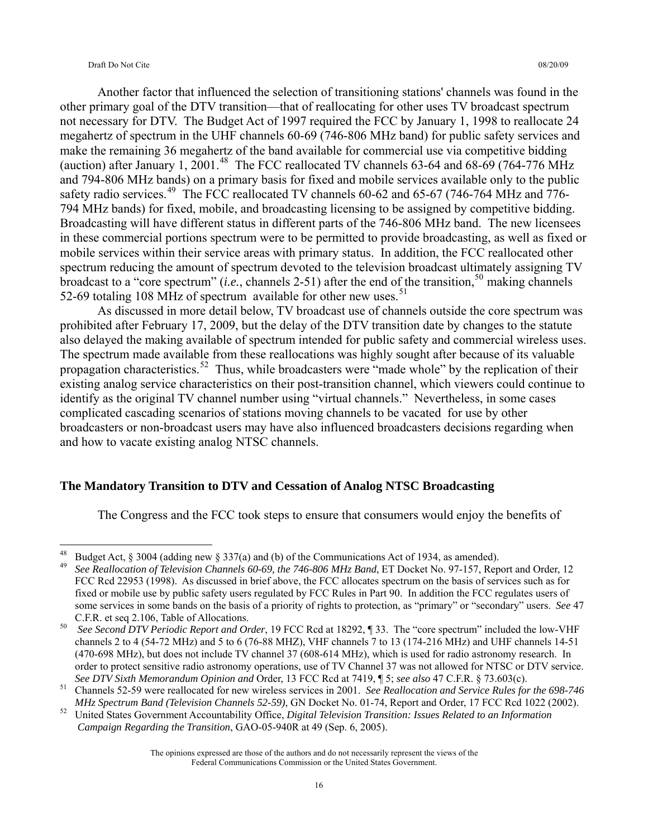#### Draft Do Not Cite 08/20/09

 Another factor that influenced the selection of transitioning stations' channels was found in the other primary goal of the DTV transition—that of reallocating for other uses TV broadcast spectrum not necessary for DTV. The Budget Act of 1997 required the FCC by January 1, 1998 to reallocate 24 megahertz of spectrum in the UHF channels 60-69 (746-806 MHz band) for public safety services and make the remaining 36 megahertz of the band available for commercial use via competitive bidding (auction) after January 1, 2001.<sup>[48](#page-15-0)</sup> The FCC reallocated TV channels 63-64 and 68-69 (764-776 MHz and 794-806 MHz bands) on a primary basis for fixed and mobile services available only to the public safety radio services.<sup>[49](#page-15-1)</sup> The FCC reallocated TV channels 60-62 and 65-67 (746-764 MHz and 776-794 MHz bands) for fixed, mobile, and broadcasting licensing to be assigned by competitive bidding. Broadcasting will have different status in different parts of the 746-806 MHz band. The new licensees in these commercial portions spectrum were to be permitted to provide broadcasting, as well as fixed or mobile services within their service areas with primary status. In addition, the FCC reallocated other spectrum reducing the amount of spectrum devoted to the television broadcast ultimately assigning TV broadcast to a "core spectrum" (*i.e.*, channels 2-51) after the end of the transition,<sup>[50](#page-15-2)</sup> making channels 52-69 totaling 108 MHz of spectrum available for other new uses.<sup>[51](#page-15-3)</sup>

As discussed in more detail below, TV broadcast use of channels outside the core spectrum was prohibited after February 17, 2009, but the delay of the DTV transition date by changes to the statute also delayed the making available of spectrum intended for public safety and commercial wireless uses. The spectrum made available from these reallocations was highly sought after because of its valuable propagation characteristics.<sup>[52](#page-15-4)</sup> Thus, while broadcasters were "made whole" by the replication of their existing analog service characteristics on their post-transition channel, which viewers could continue to identify as the original TV channel number using "virtual channels." Nevertheless, in some cases complicated cascading scenarios of stations moving channels to be vacated for use by other broadcasters or non-broadcast users may have also influenced broadcasters decisions regarding when and how to vacate existing analog NTSC channels.

#### **The Mandatory Transition to DTV and Cessation of Analog NTSC Broadcasting**

The Congress and the FCC took steps to ensure that consumers would enjoy the benefits of

<span id="page-15-0"></span><sup>48</sup> Budget Act,  $\S 3004$  (adding new  $\S 337(a)$  and (b) of the Communications Act of 1934, as amended).

<span id="page-15-1"></span><sup>49</sup> *See Reallocation of Television Channels 60-69, the 746-806 MHz Band*, ET Docket No. 97-157, Report and Order, 12 FCC Rcd 22953 (1998). As discussed in brief above, the FCC allocates spectrum on the basis of services such as for fixed or mobile use by public safety users regulated by FCC Rules in Part 90. In addition the FCC regulates users of some services in some bands on the basis of a priority of rights to protection, as "primary" or "secondary" users. *See* 47

<span id="page-15-2"></span>C.F.R. et seq 2.106, Table of Allocations. 50 *See Second DTV Periodic Report and Order*, 19 FCC Rcd at 18292, ¶ 33. The "core spectrum" included the low-VHF channels 2 to 4 (54-72 MHz) and 5 to 6 (76-88 MHZ), VHF channels 7 to 13 (174-216 MHz) and UHF channels 14-51 (470-698 MHz), but does not include TV channel 37 (608-614 MHz), which is used for radio astronomy research. In order to protect sensitive radio astronomy operations, use of TV Channel 37 was not allowed for NTSC or DTV service.

<span id="page-15-3"></span>See DTV Sixth Memorandum Opinion and Order, 13 FCC Rcd at 7419, ¶ 5; see also 47 C.F.R. § 73.603(c).<br><sup>51</sup> Channels 52-59 were reallocated for new wireless services in 2001. See Reallocation and Service Rules for the 698-74

<span id="page-15-4"></span>MHz Spectrum Band (Television Channels 52-59), GN Docket No. 01-74, Report and Order, 17 FCC Rcd 1022 (2002).<br>United States Government Accountability Office, Digital Television Transition: Issues Related to an Information  *Campaign Regarding the Transition*, GAO-05-940R at 49 (Sep. 6, 2005).

The opinions expressed are those of the authors and do not necessarily represent the views of the Federal Communications Commission or the United States Government.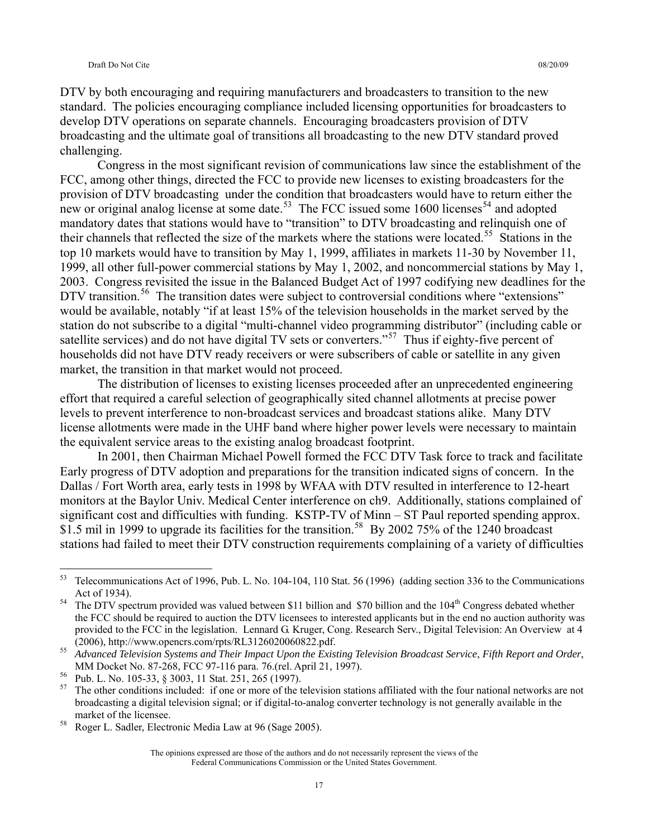DTV by both encouraging and requiring manufacturers and broadcasters to transition to the new standard. The policies encouraging compliance included licensing opportunities for broadcasters to develop DTV operations on separate channels. Encouraging broadcasters provision of DTV broadcasting and the ultimate goal of transitions all broadcasting to the new DTV standard proved challenging.

 Congress in the most significant revision of communications law since the establishment of the FCC, among other things, directed the FCC to provide new licenses to existing broadcasters for the provision of DTV broadcasting under the condition that broadcasters would have to return either the new or original analog license at some date.<sup>[53](#page-16-0)</sup> The FCC issued some 1600 licenses<sup>[54](#page-16-1)</sup> and adopted mandatory dates that stations would have to "transition" to DTV broadcasting and relinquish one of their channels that reflected the size of the markets where the stations were located.<sup>[55](#page-16-2)</sup> Stations in the top 10 markets would have to transition by May 1, 1999, affiliates in markets 11-30 by November 11, 1999, all other full-power commercial stations by May 1, 2002, and noncommercial stations by May 1, 2003. Congress revisited the issue in the Balanced Budget Act of 1997 codifying new deadlines for the DTV transition.<sup>[56](#page-16-3)</sup> The transition dates were subject to controversial conditions where "extensions" would be available, notably "if at least 15% of the television households in the market served by the station do not subscribe to a digital "multi-channel video programming distributor" (including cable or satellite services) and do not have digital TV sets or converters."<sup>[57](#page-16-4)</sup> Thus if eighty-five percent of households did not have DTV ready receivers or were subscribers of cable or satellite in any given market, the transition in that market would not proceed.

 The distribution of licenses to existing licenses proceeded after an unprecedented engineering effort that required a careful selection of geographically sited channel allotments at precise power levels to prevent interference to non-broadcast services and broadcast stations alike. Many DTV license allotments were made in the UHF band where higher power levels were necessary to maintain the equivalent service areas to the existing analog broadcast footprint.

 In 2001, then Chairman Michael Powell formed the FCC DTV Task force to track and facilitate Early progress of DTV adoption and preparations for the transition indicated signs of concern. In the Dallas / Fort Worth area, early tests in 1998 by WFAA with DTV resulted in interference to 12-heart monitors at the Baylor Univ. Medical Center interference on ch9. Additionally, stations complained of significant cost and difficulties with funding. KSTP-TV of Minn – ST Paul reported spending approx. \$1.5 mil in 1999 to upgrade its facilities for the transition.<sup>[58](#page-16-5)</sup> By 2002 75% of the 1240 broadcast stations had failed to meet their DTV construction requirements complaining of a variety of difficulties

 $\overline{a}$ 

<span id="page-16-0"></span><sup>&</sup>lt;sup>53</sup> Telecommunications Act of 1996, Pub. L. No. 104-104, 110 Stat. 56 (1996) (adding section 336 to the Communications Act of 1934).<br><sup>54</sup> The DTV spectrum provided was valued between \$11 billion and \$70 billion and the 104<sup>th</sup> Congress debated whether

<span id="page-16-1"></span>the FCC should be required to auction the DTV licensees to interested applicants but in the end no auction authority was provided to the FCC in the legislation. Lennard G. Kruger, Cong. Research Serv., Digital Television: An Overview at 4 (2006), http://www.opencrs.com/rpts/RL3126020060822.pdf. 55 *Advanced Television Systems and Their Impact Upon the Existing Television Broadcast Service*, *Fifth Report and Order*,

<span id="page-16-2"></span>MM Docket No. 87-268, FCC 97-116 para. 76.(rel. April 21, 1997).<br>Pub. L. No. 105-33, § 3003, 11 Stat. 251, 265 (1997).

<span id="page-16-3"></span>

<span id="page-16-4"></span> $57$  The other conditions included: if one or more of the television stations affiliated with the four national networks are not broadcasting a digital television signal; or if digital-to-analog converter technology is not generally available in the market of the licensee.<br><sup>58</sup> Roger L. Sadler, Electronic Media Law at 96 (Sage 2005).

<span id="page-16-5"></span>

The opinions expressed are those of the authors and do not necessarily represent the views of the Federal Communications Commission or the United States Government.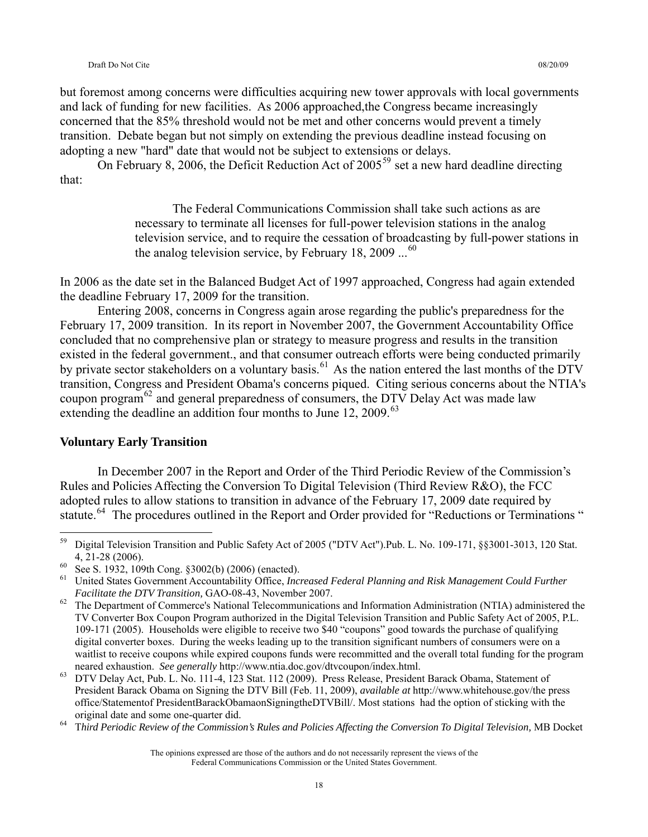#### Draft Do Not Cite 08/20/09

but foremost among concerns were difficulties acquiring new tower approvals with local governments and lack of funding for new facilities. As 2006 approached,the Congress became increasingly concerned that the 85% threshold would not be met and other concerns would prevent a timely transition. Debate began but not simply on extending the previous deadline instead focusing on adopting a new "hard" date that would not be subject to extensions or delays.

On February 8, 2006, the Deficit Reduction Act of  $2005^{59}$  $2005^{59}$  $2005^{59}$  set a new hard deadline directing that:

> The Federal Communications Commission shall take such actions as are necessary to terminate all licenses for full-power television stations in the analog television service, and to require the cessation of broadcasting by full-power stations in the analog television service, by February 18, 2009  $\dots^{60}$  $\dots^{60}$  $\dots^{60}$

In 2006 as the date set in the Balanced Budget Act of 1997 approached, Congress had again extended the deadline February 17, 2009 for the transition.

 Entering 2008, concerns in Congress again arose regarding the public's preparedness for the February 17, 2009 transition. In its report in November 2007, the Government Accountability Office concluded that no comprehensive plan or strategy to measure progress and results in the transition existed in the federal government., and that consumer outreach efforts were being conducted primarily by private sector stakeholders on a voluntary basis.<sup>[61](#page-17-2)</sup> As the nation entered the last months of the DTV transition, Congress and President Obama's concerns piqued. Citing serious concerns about the NTIA's coupon program<sup>[62](#page-17-3)</sup> and general preparedness of consumers, the DTV Delay Act was made law extending the deadline an addition four months to June 12, 2009.<sup>[63](#page-17-4)</sup>

#### **Voluntary Early Transition**

 In December 2007 in the Report and Order of the Third Periodic Review of the Commission's Rules and Policies Affecting the Conversion To Digital Television (Third Review R&O), the FCC adopted rules to allow stations to transition in advance of the February 17, 2009 date required by statute.<sup>[64](#page-17-5)</sup> The procedures outlined in the Report and Order provided for "Reductions or Terminations"

<span id="page-17-0"></span><sup>59</sup> 59 Digital Television Transition and Public Safety Act of 2005 ("DTV Act").Pub. L. No. 109-171, §§3001-3013, 120 Stat. 4, 21-28 (2006).<br><sup>60</sup> See S. 1932, 109th Cong. §3002(b) (2006) (enacted).

<span id="page-17-1"></span>

<span id="page-17-2"></span><sup>61</sup> United States Government Accountability Office, *Increased Federal Planning and Risk Management Could Further Facilitate the DTV Transition, GAO-08-43, November 2007.* The Department of Commerce's National Telecommunications and Information Administration (NTIA) administered the

<span id="page-17-3"></span>TV Converter Box Coupon Program authorized in the Digital Television Transition and Public Safety Act of 2005, P.L. 109-171 (2005). Households were eligible to receive two \$40 "coupons" good towards the purchase of qualifying digital converter boxes. During the weeks leading up to the transition significant numbers of consumers were on a waitlist to receive coupons while expired coupons funds were recommitted and the overall total funding for the program neared exhaustion. *See generally* http://www.ntia.doc.gov/dtvcoupon/index.html.<br>DTV Delay Act, Pub. L. No. 111-4, 123 Stat. 112 (2009). Press Release, President Barack Obama, Statement of

<span id="page-17-4"></span>President Barack Obama on Signing the DTV Bill (Feb. 11, 2009), *available at* http://www.whitehouse.gov/the press office/Statementof PresidentBarackObamaonSigningtheDTVBill/. Most stations had the option of sticking with the original date and some one-quarter did. 64 T*hird Periodic Review of the Commission's Rules and Policies Affecting the Conversion To Digital Television,* MB Docket

<span id="page-17-5"></span>

The opinions expressed are those of the authors and do not necessarily represent the views of the Federal Communications Commission or the United States Government.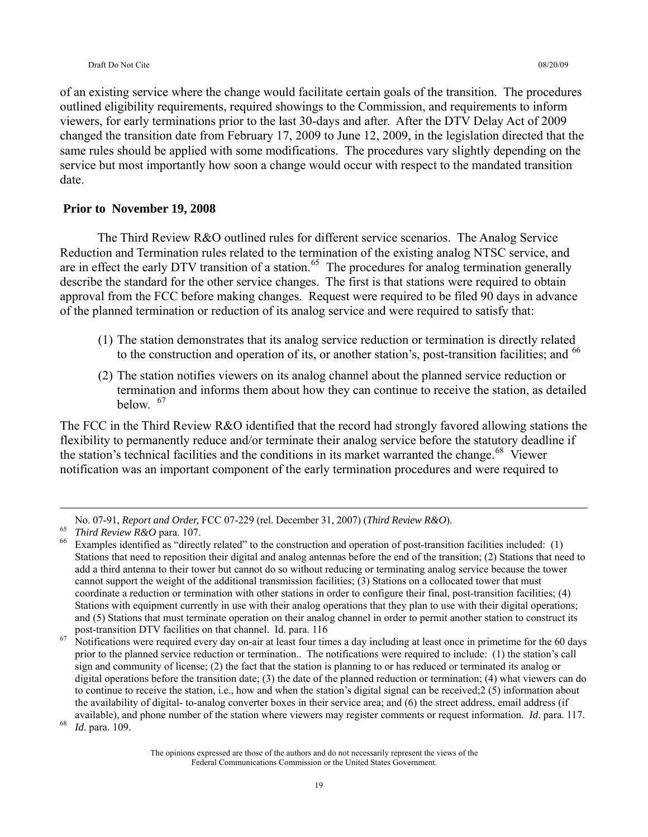of an existing service where the change would facilitate certain goals of the transition. The procedures outlined eligibility requirements, required showings to the Commission, and requirements to inform viewers, for early terminations prior to the last 30-days and after. After the DTV Delay Act of 2009 changed the transition date from February 17, 2009 to June 12, 2009, in the legislation directed that the same rules should be applied with some modifications. The procedures vary slightly depending on the service but most importantly how soon a change would occur with respect to the mandated transition date.

#### **Prior to November 19, 2008**

 The Third Review R&O outlined rules for different service scenarios. The Analog Service Reduction and Termination rules related to the termination of the existing analog NTSC service, and are in effect the early DTV transition of a station.<sup>[65](#page-18-0)</sup> The procedures for analog termination generally describe the standard for the other service changes. The first is that stations were required to obtain approval from the FCC before making changes. Request were required to be filed 90 days in advance of the planned termination or reduction of its analog service and were required to satisfy that:

- (1) The station demonstrates that its analog service reduction or termination is directly related to the construction and operation of its, or another station's, post-transition facilities; and <sup>[66](#page-18-1)</sup>
- (2) The station notifies viewers on its analog channel about the planned service reduction or termination and informs them about how they can continue to receive the station, as detailed  $helow<sup>67</sup>$  $helow<sup>67</sup>$  $helow<sup>67</sup>$

The FCC in the Third Review R&O identified that the record had strongly favored allowing stations the flexibility to permanently reduce and/or terminate their analog service before the statutory deadline if the station's technical facilities and the conditions in its market warranted the change.<sup>[68](#page-18-3)</sup> Viewer notification was an important component of the early termination procedures and were required to

<span id="page-18-2"></span>post-transition DTV facilities on that channel. Id. para. 116<br><sup>67</sup> Notifications were required every day on-air at least four times a day including at least once in primetime for the 60 days prior to the planned service reduction or termination.. The notifications were required to include: (1) the station's call sign and community of license; (2) the fact that the station is planning to or has reduced or terminated its analog or digital operations before the transition date; (3) the date of the planned reduction or termination; (4) what viewers can do to continue to receive the station, i.e., how and when the station's digital signal can be received;2 (5) information about the availability of digital- to-analog converter boxes in their service area; and (6) the street address, email address (if available), and phone number of the station where viewers may register comments or request information. *Id*. para. 117. 68 *Id*. para. 109.

<span id="page-18-3"></span>

<span id="page-18-1"></span><span id="page-18-0"></span>

No. 07-91, Report and Order, FCC 07-229 (rel. December 31, 2007) (Third Review R&O).<br><sup>65</sup> Third Review R&O para. 107.<br><sup>66</sup> Examples identified as "directly related" to the construction and operation of post-transition faci Stations that need to reposition their digital and analog antennas before the end of the transition; (2) Stations that need to add a third antenna to their tower but cannot do so without reducing or terminating analog service because the tower cannot support the weight of the additional transmission facilities; (3) Stations on a collocated tower that must coordinate a reduction or termination with other stations in order to configure their final, post-transition facilities; (4) Stations with equipment currently in use with their analog operations that they plan to use with their digital operations; and (5) Stations that must terminate operation on their analog channel in order to permit another station to construct its

The opinions expressed are those of the authors and do not necessarily represent the views of the Federal Communications Commission or the United States Government.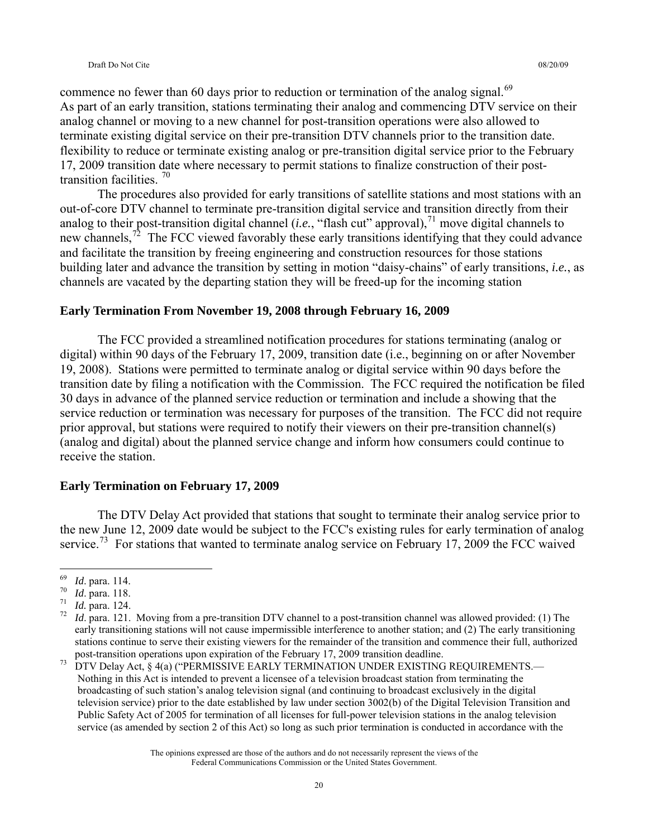commence no fewer than 60 days prior to reduction or termination of the analog signal.<sup>[69](#page-19-0)</sup> As part of an early transition, stations terminating their analog and commencing DTV service on their analog channel or moving to a new channel for post-transition operations were also allowed to terminate existing digital service on their pre-transition DTV channels prior to the transition date. flexibility to reduce or terminate existing analog or pre-transition digital service prior to the February 17, 2009 transition date where necessary to permit stations to finalize construction of their posttransition facilities. [70](#page-19-1)

 The procedures also provided for early transitions of satellite stations and most stations with an out-of-core DTV channel to terminate pre-transition digital service and transition directly from their analog to their post-transition digital channel (*i.e.*, "flash cut" approval),<sup>[71](#page-19-2)</sup> move digital channels to new channels,<sup>[72](#page-19-3)</sup> The FCC viewed favorably these early transitions identifying that they could advance and facilitate the transition by freeing engineering and construction resources for those stations building later and advance the transition by setting in motion "daisy-chains" of early transitions, *i.e.*, as channels are vacated by the departing station they will be freed-up for the incoming station

#### **Early Termination From November 19, 2008 through February 16, 2009**

 The FCC provided a streamlined notification procedures for stations terminating (analog or digital) within 90 days of the February 17, 2009, transition date (i.e., beginning on or after November 19, 2008). Stations were permitted to terminate analog or digital service within 90 days before the transition date by filing a notification with the Commission. The FCC required the notification be filed 30 days in advance of the planned service reduction or termination and include a showing that the service reduction or termination was necessary for purposes of the transition. The FCC did not require prior approval, but stations were required to notify their viewers on their pre-transition channel(s) (analog and digital) about the planned service change and inform how consumers could continue to receive the station.

#### **Early Termination on February 17, 2009**

 The DTV Delay Act provided that stations that sought to terminate their analog service prior to the new June 12, 2009 date would be subject to the FCC's existing rules for early termination of analog service.<sup>[73](#page-19-4)</sup> For stations that wanted to terminate analog service on February 17, 2009 the FCC waived

 $\overline{a}$ 

<span id="page-19-1"></span>

<span id="page-19-3"></span><span id="page-19-2"></span>

<span id="page-19-0"></span><sup>&</sup>lt;sup>69</sup> *Id.* para. 114.<br><sup>70</sup> *Id.* para. 118.<br><sup>71</sup> *Id.* para. 124.<br><sup>72</sup> *Id.* para. 121. Moving from a pre-transition DTV channel to a post-transition channel was allowed provided: (1) The early transitioning stations will not cause impermissible interference to another station; and (2) The early transitioning stations continue to serve their existing viewers for the remainder of the transition and commence their full, authorized

<span id="page-19-4"></span>post-transition operations upon expiration of the February 17, 2009 transition deadline.<br>DTV Delay Act, § 4(a) ("PERMISSIVE EARLY TERMINATION UNDER EXISTING REQUIREMENTS.— Nothing in this Act is intended to prevent a licensee of a television broadcast station from terminating the broadcasting of such station's analog television signal (and continuing to broadcast exclusively in the digital television service) prior to the date established by law under section 3002(b) of the Digital Television Transition and Public Safety Act of 2005 for termination of all licenses for full-power television stations in the analog television service (as amended by section 2 of this Act) so long as such prior termination is conducted in accordance with the

The opinions expressed are those of the authors and do not necessarily represent the views of the Federal Communications Commission or the United States Government.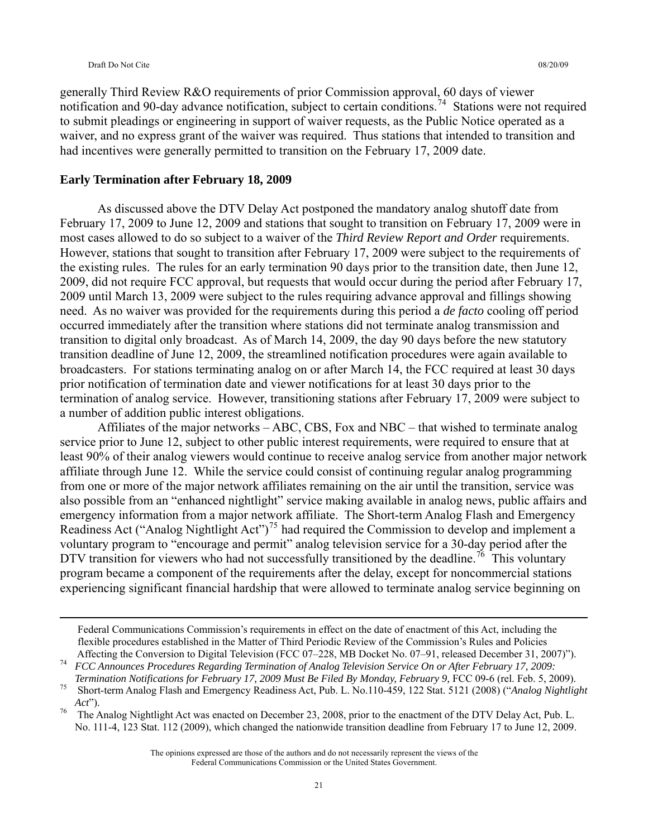generally Third Review R&O requirements of prior Commission approval, 60 days of viewer notification and 90-day advance notification, subject to certain conditions.<sup>[74](#page-20-0)</sup> Stations were not required to submit pleadings or engineering in support of waiver requests, as the Public Notice operated as a waiver, and no express grant of the waiver was required. Thus stations that intended to transition and had incentives were generally permitted to transition on the February 17, 2009 date.

#### **Early Termination after February 18, 2009**

 As discussed above the DTV Delay Act postponed the mandatory analog shutoff date from February 17, 2009 to June 12, 2009 and stations that sought to transition on February 17, 2009 were in most cases allowed to do so subject to a waiver of the *Third Review Report and Order* requirements. However, stations that sought to transition after February 17, 2009 were subject to the requirements of the existing rules. The rules for an early termination 90 days prior to the transition date, then June 12, 2009, did not require FCC approval, but requests that would occur during the period after February 17, 2009 until March 13, 2009 were subject to the rules requiring advance approval and fillings showing need. As no waiver was provided for the requirements during this period a *de facto* cooling off period occurred immediately after the transition where stations did not terminate analog transmission and transition to digital only broadcast. As of March 14, 2009, the day 90 days before the new statutory transition deadline of June 12, 2009, the streamlined notification procedures were again available to broadcasters. For stations terminating analog on or after March 14, the FCC required at least 30 days prior notification of termination date and viewer notifications for at least 30 days prior to the termination of analog service. However, transitioning stations after February 17, 2009 were subject to a number of addition public interest obligations.

 Affiliates of the major networks – ABC, CBS, Fox and NBC – that wished to terminate analog service prior to June 12, subject to other public interest requirements, were required to ensure that at least 90% of their analog viewers would continue to receive analog service from another major network affiliate through June 12. While the service could consist of continuing regular analog programming from one or more of the major network affiliates remaining on the air until the transition, service was also possible from an "enhanced nightlight" service making available in analog news, public affairs and emergency information from a major network affiliate. The Short-term Analog Flash and Emergency Readiness Act ("Analog Nightlight Act")<sup>[75](#page-20-1)</sup> had required the Commission to develop and implement a voluntary program to "encourage and permit" analog television service for a 30-day period after the DTV transition for viewers who had not successfully transitioned by the deadline.<sup>[76](#page-20-2)</sup> This voluntary program became a component of the requirements after the delay, except for noncommercial stations experiencing significant financial hardship that were allowed to terminate analog service beginning on

Federal Communications Commission's requirements in effect on the date of enactment of this Act, including the flexible procedures established in the Matter of Third Periodic Review of the Commission's Rules and Policies Affecting the Conversion to Digital Television (FCC 07-228, MB Docket No. 07-91, released December 31, 2007)").<br>FCC Announces Procedures Regarding Termination of Analog Television Service On or After February 17, 2009:

<span id="page-20-0"></span>

<span id="page-20-1"></span>Termination Notifications for February 17, 2009 Must Be Filed By Monday, February 9, FCC 09-6 (rel. Feb. 5, 2009).<br>Short-term Analog Flash and Emergency Readiness Act, Pub. L. No.110-459, 122 Stat. 5121 (2008) ("Analog Nig *Act*").<br>The Analog Nightlight Act was enacted on December 23, 2008, prior to the enactment of the DTV Delay Act, Pub. L.

<span id="page-20-2"></span>No. 111-4, 123 Stat. 112 (2009), which changed the nationwide transition deadline from February 17 to June 12, 2009.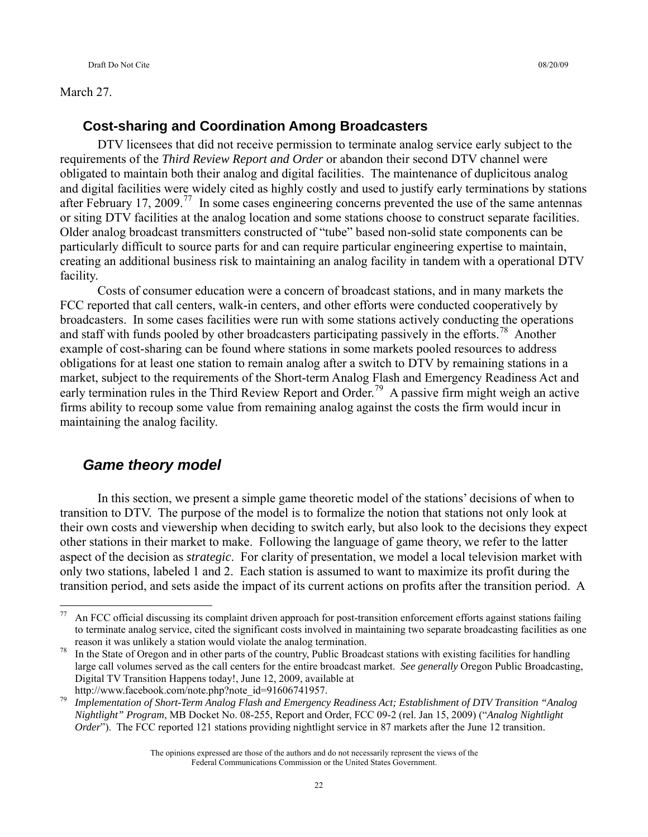#### March 27.

#### **Cost-sharing and Coordination Among Broadcasters**

 DTV licensees that did not receive permission to terminate analog service early subject to the requirements of the *Third Review Report and Order* or abandon their second DTV channel were obligated to maintain both their analog and digital facilities. The maintenance of duplicitous analog and digital facilities were widely cited as highly costly and used to justify early terminations by stations after February 17, 2009.<sup>[77](#page-21-0)</sup> In some cases engineering concerns prevented the use of the same antennas or siting DTV facilities at the analog location and some stations choose to construct separate facilities. Older analog broadcast transmitters constructed of "tube" based non-solid state components can be particularly difficult to source parts for and can require particular engineering expertise to maintain, creating an additional business risk to maintaining an analog facility in tandem with a operational DTV facility.

 Costs of consumer education were a concern of broadcast stations, and in many markets the FCC reported that call centers, walk-in centers, and other efforts were conducted cooperatively by broadcasters. In some cases facilities were run with some stations actively conducting the operations and staff with funds pooled by other broadcasters participating passively in the efforts.<sup>[78](#page-21-1)</sup> Another example of cost-sharing can be found where stations in some markets pooled resources to address obligations for at least one station to remain analog after a switch to DTV by remaining stations in a market, subject to the requirements of the Short-term Analog Flash and Emergency Readiness Act and early termination rules in the Third Review Report and Order.<sup>[79](#page-21-2)</sup> A passive firm might weigh an active firms ability to recoup some value from remaining analog against the costs the firm would incur in maintaining the analog facility.

### *Game theory model*

 In this section, we present a simple game theoretic model of the stations' decisions of when to transition to DTV. The purpose of the model is to formalize the notion that stations not only look at their own costs and viewership when deciding to switch early, but also look to the decisions they expect other stations in their market to make. Following the language of game theory, we refer to the latter aspect of the decision as *strategic*. For clarity of presentation, we model a local television market with only two stations, labeled 1 and 2. Each station is assumed to want to maximize its profit during the transition period, and sets aside the impact of its current actions on profits after the transition period. A

<span id="page-21-0"></span> $77\,$ 77 An FCC official discussing its complaint driven approach for post-transition enforcement efforts against stations failing to terminate analog service, cited the significant costs involved in maintaining two separate broadcasting facilities as one reason it was unlikely a station would violate the analog termination.<br><sup>78</sup> In the State of Oregon and in other parts of the country, Public Broadcast stations with existing facilities for handling

<span id="page-21-1"></span>large call volumes served as the call centers for the entire broadcast market. *See generally* Oregon Public Broadcasting, Digital TV Transition Happens today!, June 12, 2009, available at

<span id="page-21-2"></span>http://www.facebook.com/note.php?note\_id=91606741957.<br>Implementation of Short-Term Analog Flash and Emergency Readiness Act; Establishment of DTV Transition "Analog *Nightlight" Program*, MB Docket No. 08-255, Report and Order, FCC 09-2 (rel. Jan 15, 2009) ("*Analog Nightlight Order*"). The FCC reported 121 stations providing nightlight service in 87 markets after the June 12 transition.

The opinions expressed are those of the authors and do not necessarily represent the views of the Federal Communications Commission or the United States Government.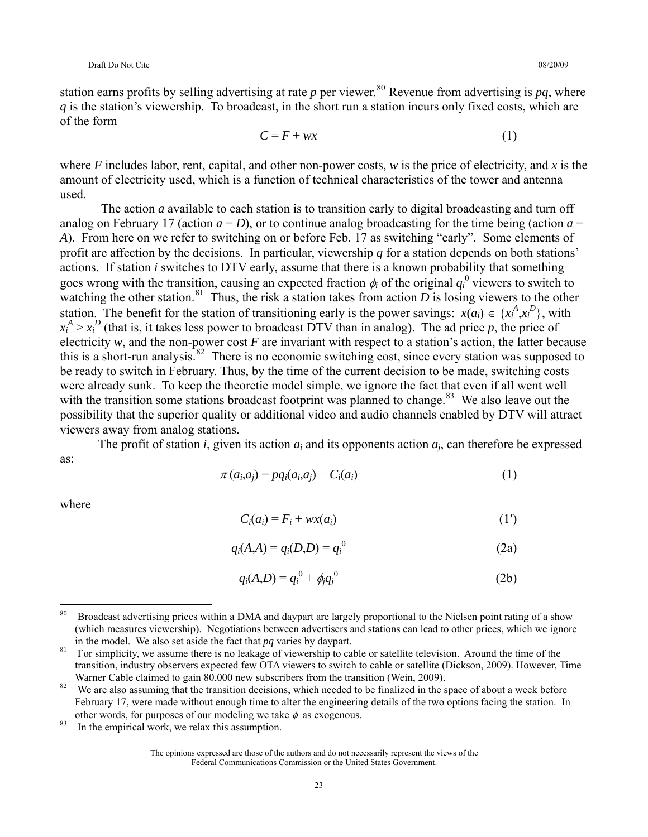station earns profits by selling advertising at rate *p* per viewer.<sup>[80](#page-22-0)</sup> Revenue from advertising is *pq*, where *q* is the station's viewership. To broadcast, in the short run a station incurs only fixed costs, which are of the form

$$
C = F + wx \tag{1}
$$

where *F* includes labor, rent, capital, and other non-power costs, *w* is the price of electricity, and *x* is the amount of electricity used, which is a function of technical characteristics of the tower and antenna used.

 The action *a* available to each station is to transition early to digital broadcasting and turn off analog on February 17 (action  $a = D$ ), or to continue analog broadcasting for the time being (action  $a =$ *A*). From here on we refer to switching on or before Feb. 17 as switching "early". Some elements of profit are affection by the decisions. In particular, viewership *q* for a station depends on both stations' actions. If station *i* switches to DTV early, assume that there is a known probability that something goes wrong with the transition, causing an expected fraction  $\phi_i$  of the original  $q_i^0$  viewers to switch to watching the other station.<sup>[81](#page-22-1)</sup> Thus, the risk a station takes from action  $\overrightarrow{D}$  is losing viewers to the other station. The benefit for the station of transitioning early is the power savings:  $x(a_i) \in \{x_i^A, x_i^D\}$ , with  $x_i^A > x_i^D$  (that is, it takes less power to broadcast DTV than in analog). The ad price *p*, the price of electricity  $w$ , and the non-power cost  $F$  are invariant with respect to a station's action, the latter because this is a short-run analysis.<sup>[82](#page-22-2)</sup> There is no economic switching cost, since every station was supposed to be ready to switch in February. Thus, by the time of the current decision to be made, switching costs were already sunk. To keep the theoretic model simple, we ignore the fact that even if all went well with the transition some stations broadcast footprint was planned to change.<sup>[83](#page-22-3)</sup> We also leave out the possibility that the superior quality or additional video and audio channels enabled by DTV will attract viewers away from analog stations.

The profit of station *i*, given its action *ai* and its opponents action *aj*, can therefore be expressed as:

$$
\pi(a_i, a_j) = pq_i(a_i, a_j) - C_i(a_i) \tag{1}
$$

where

 $\overline{a}$ 

$$
C_i(a_i) = F_i + wx(a_i)
$$
 (1')

$$
q_i(A,A) = q_i(D,D) = q_i^0
$$
 (2a)

$$
q_i(A,D) = q_i^0 + \phi_i q_j^0
$$
 (2b)

<span id="page-22-0"></span><sup>&</sup>lt;sup>80</sup> Broadcast advertising prices within a DMA and daypart are largely proportional to the Nielsen point rating of a show (which measures viewership). Negotiations between advertisers and stations can lead to other prices, which we ignore in the model. We also set aside the fact that  $pq$  varies by daypart.<br><sup>81</sup> For simplicity, we assume there is no leakage of viewership to cable or satellite television. Around the time of the

<span id="page-22-1"></span>transition, industry observers expected few OTA viewers to switch to cable or satellite (Dickson, 2009). However, Time Warner Cable claimed to gain 80,000 new subscribers from the transition (Wein, 2009).<br><sup>82</sup> We are also assuming that the transition decisions, which needed to be finalized in the space of about a week before

<span id="page-22-2"></span>February 17, were made without enough time to alter the engineering details of the two options facing the station. In other words, for purposes of our modeling we take  $\phi$  as exogenous.<br><sup>83</sup> In the empirical work, we relax this assumption.

<span id="page-22-3"></span>

The opinions expressed are those of the authors and do not necessarily represent the views of the Federal Communications Commission or the United States Government.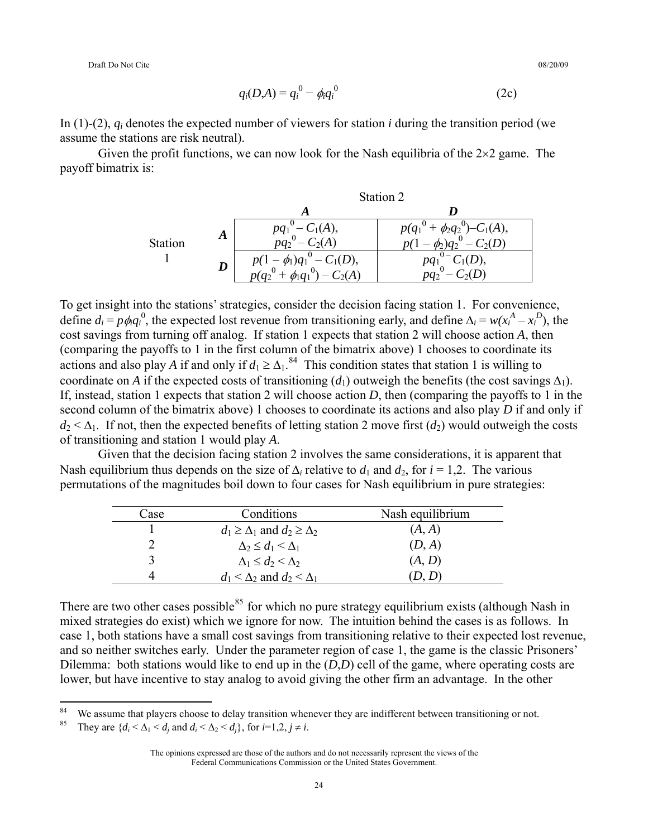Draft Do Not Cite 08/20/09

$$
q_i(D,A) = q_i^0 - \phi_i q_i^0
$$
 (2c)

In (1)-(2), *qi* denotes the expected number of viewers for station *i* during the transition period (we assume the stations are risk neutral).

Given the profit functions, we can now look for the Nash equilibria of the  $2\times 2$  game. The payoff bimatrix is:

|         |   | Station 2                                 |                                                   |  |  |
|---------|---|-------------------------------------------|---------------------------------------------------|--|--|
|         |   |                                           |                                                   |  |  |
| Station | Α | $\bigcap_{\iota}(A),$<br>$pq_1$<br>$9q_2$ | $-C1(A),$<br>$\phi_2 q_2$<br>$p(q_1)$<br>$\Omega$ |  |  |
|         | D | $T_1(D),$                                 | (D),                                              |  |  |

To get insight into the stations' strategies, consider the decision facing station 1. For convenience, define  $d_i = p \phi_i q_i^0$ , the expected lost revenue from transitioning early, and define  $\Delta_i = w(x_i^A - x_i^D)$ , the cost savings from turning off analog. If station 1 expects that station 2 will choose action *A*, then (comparing the payoffs to 1 in the first column of the bimatrix above) 1 chooses to coordinate its actions and also play *A* if and only if  $d_1 \geq \Delta_1$ .<sup>[84](#page-23-0)</sup> This condition states that station 1 is willing to coordinate on *A* if the expected costs of transitioning  $(d_1)$  outweigh the benefits (the cost savings  $\Delta_1$ ). If, instead, station 1 expects that station 2 will choose action *D*, then (comparing the payoffs to 1 in the second column of the bimatrix above) 1 chooses to coordinate its actions and also play *D* if and only if  $d_2 < \Delta_1$ . If not, then the expected benefits of letting station 2 move first  $(d_2)$  would outweigh the costs of transitioning and station 1 would play *A*.

Given that the decision facing station 2 involves the same considerations, it is apparent that Nash equilibrium thus depends on the size of  $\Delta_i$  relative to  $d_1$  and  $d_2$ , for  $i = 1,2$ . The various permutations of the magnitudes boil down to four cases for Nash equilibrium in pure strategies:

| Case | Conditions                                  | Nash equilibrium |
|------|---------------------------------------------|------------------|
|      | $d_1 \geq \Delta_1$ and $d_2 \geq \Delta_2$ | (A, A)           |
|      | $\Delta_2 \leq d_1 \leq \Delta_1$           | (D, A)           |
|      | $\Delta_1 \leq d_2 \leq \Delta_2$           | (A, D)           |
|      | $d_1 < \Delta_2$ and $d_2 < \Delta_1$       | (D, D)           |

There are two other cases possible<sup>[85](#page-23-1)</sup> for which no pure strategy equilibrium exists (although Nash in mixed strategies do exist) which we ignore for now. The intuition behind the cases is as follows. In case 1, both stations have a small cost savings from transitioning relative to their expected lost revenue, and so neither switches early. Under the parameter region of case 1, the game is the classic Prisoners' Dilemma: both stations would like to end up in the (*D*,*D*) cell of the game, where operating costs are lower, but have incentive to stay analog to avoid giving the other firm an advantage. In the other

 $\overline{a}$ 

<span id="page-23-1"></span><span id="page-23-0"></span>We assume that players choose to delay transition whenever they are indifferent between transitioning or not.<br><sup>85</sup> They are  $\{d_i < \Delta_1 < d_i \text{ and } d_i < \Delta_2 < d_j\}$ , for  $i=1,2, j \neq i$ .

The opinions expressed are those of the authors and do not necessarily represent the views of the Federal Communications Commission or the United States Government.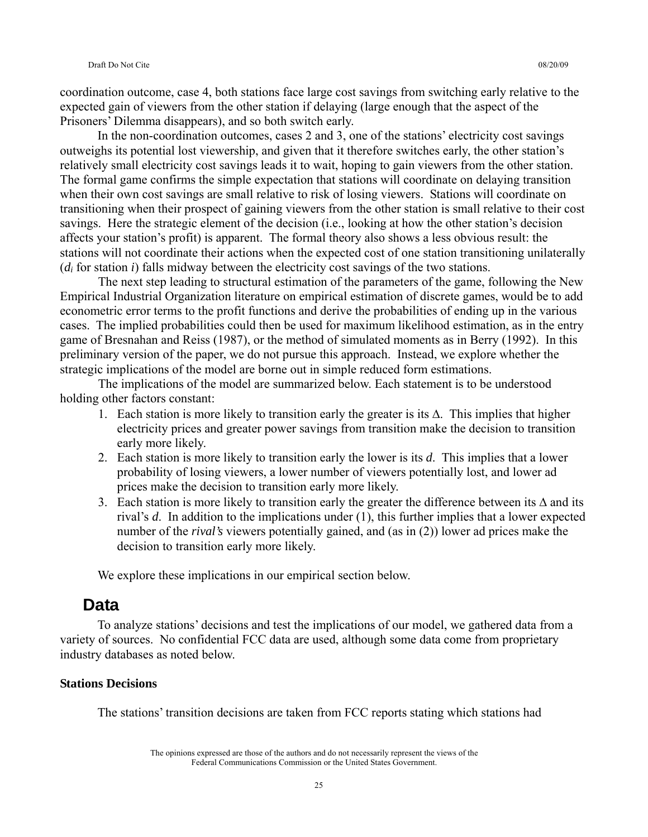coordination outcome, case 4, both stations face large cost savings from switching early relative to the expected gain of viewers from the other station if delaying (large enough that the aspect of the Prisoners' Dilemma disappears), and so both switch early.

 In the non-coordination outcomes, cases 2 and 3, one of the stations' electricity cost savings outweighs its potential lost viewership, and given that it therefore switches early, the other station's relatively small electricity cost savings leads it to wait, hoping to gain viewers from the other station. The formal game confirms the simple expectation that stations will coordinate on delaying transition when their own cost savings are small relative to risk of losing viewers. Stations will coordinate on transitioning when their prospect of gaining viewers from the other station is small relative to their cost savings. Here the strategic element of the decision (i.e., looking at how the other station's decision affects your station's profit) is apparent. The formal theory also shows a less obvious result: the stations will not coordinate their actions when the expected cost of one station transitioning unilaterally (*di* for station *i*) falls midway between the electricity cost savings of the two stations.

The next step leading to structural estimation of the parameters of the game, following the New Empirical Industrial Organization literature on empirical estimation of discrete games, would be to add econometric error terms to the profit functions and derive the probabilities of ending up in the various cases. The implied probabilities could then be used for maximum likelihood estimation, as in the entry game of Bresnahan and Reiss (1987), or the method of simulated moments as in Berry (1992). In this preliminary version of the paper, we do not pursue this approach. Instead, we explore whether the strategic implications of the model are borne out in simple reduced form estimations.

The implications of the model are summarized below. Each statement is to be understood holding other factors constant:

- 1. Each station is more likely to transition early the greater is its  $\Delta$ . This implies that higher electricity prices and greater power savings from transition make the decision to transition early more likely.
- 2. Each station is more likely to transition early the lower is its *d*. This implies that a lower probability of losing viewers, a lower number of viewers potentially lost, and lower ad prices make the decision to transition early more likely.
- 3. Each station is more likely to transition early the greater the difference between its  $\Delta$  and its rival's *d*. In addition to the implications under (1), this further implies that a lower expected number of the *rival's* viewers potentially gained, and (as in (2)) lower ad prices make the decision to transition early more likely.

We explore these implications in our empirical section below.

### **Data**

 To analyze stations' decisions and test the implications of our model, we gathered data from a variety of sources. No confidential FCC data are used, although some data come from proprietary industry databases as noted below.

#### **Stations Decisions**

The stations' transition decisions are taken from FCC reports stating which stations had

The opinions expressed are those of the authors and do not necessarily represent the views of the Federal Communications Commission or the United States Government.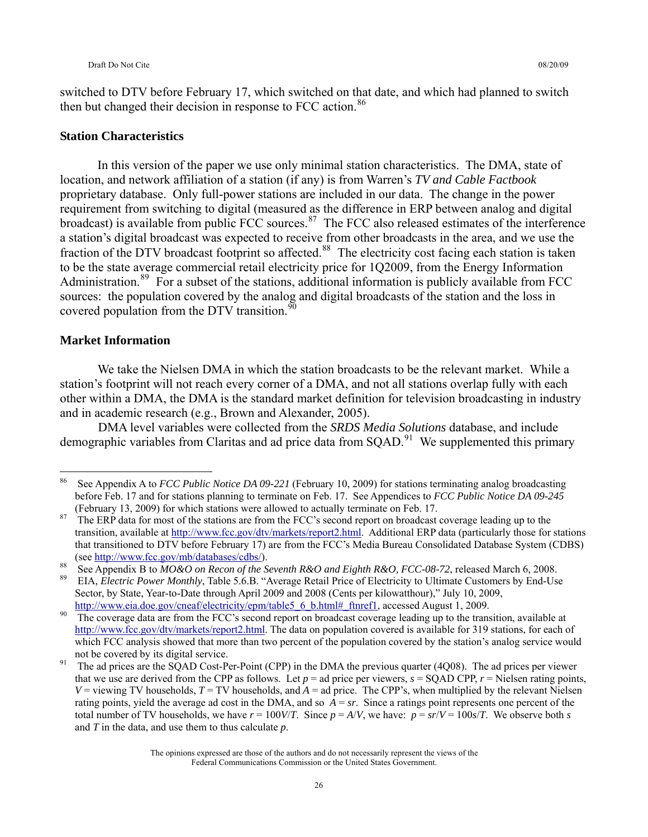switched to DTV before February 17, which switched on that date, and which had planned to switch then but changed their decision in response to FCC action.<sup>[86](#page-25-0)</sup>

#### **Station Characteristics**

 In this version of the paper we use only minimal station characteristics. The DMA, state of location, and network affiliation of a station (if any) is from Warren's *TV and Cable Factbook* proprietary database. Only full-power stations are included in our data. The change in the power requirement from switching to digital (measured as the difference in ERP between analog and digital broadcast) is available from public FCC sources.<sup>[87](#page-25-1)</sup> The FCC also released estimates of the interference a station's digital broadcast was expected to receive from other broadcasts in the area, and we use the fraction of the DTV broadcast footprint so affected.<sup>[88](#page-25-2)</sup> The electricity cost facing each station is taken to be the state average commercial retail electricity price for 1Q2009, from the Energy Information Administration.<sup>[89](#page-25-3)</sup> For a subset of the stations, additional information is publicly available from FCC sources: the population covered by the analog and digital broadcasts of the station and the loss in covered population from the DTV transition. $90$ 

#### **Market Information**

 We take the Nielsen DMA in which the station broadcasts to be the relevant market. While a station's footprint will not reach every corner of a DMA, and not all stations overlap fully with each other within a DMA, the DMA is the standard market definition for television broadcasting in industry and in academic research (e.g., Brown and Alexander, 2005).

DMA level variables were collected from the *SRDS Media Solutions* database, and include demographic variables from Claritas and ad price data from  $SQAD$ <sup>[91](#page-25-5)</sup>. We supplemented this primary

<span id="page-25-0"></span><sup>86</sup> 86 See Appendix A to *FCC Public Notice DA 09-221* (February 10, 2009) for stations terminating analog broadcasting before Feb. 17 and for stations planning to terminate on Feb. 17. See Appendices to *FCC Public Notice DA 09-245* (February 13, 2009) for which stations were allowed to actually terminate on Feb. 17.<br><sup>87</sup> The ERP data for most of the stations are from the FCC's second report on broadcast coverage leading up to the

<span id="page-25-1"></span>transition, available at [http://www.fcc.gov/dtv/markets/report2.html.](http://www.fcc.gov/dtv/markets/report2.html) Additional ERP data (particularly those for stations that transitioned to DTV before February 17) are from the FCC's Media Bureau Consolidated Database System (CDBS) (see<http://www.fcc.gov/mb/databases/cdbs/>).<br>
See Appendix B to MO&O on Recon of the Seventh R&O and Eighth R&O, FCC-08-72, released March 6, 2008.<br>
EIA, Electric Power Monthly, Table 5.6.B. "Average Retail Price of Electr

<span id="page-25-2"></span>

<span id="page-25-3"></span>Sector, by State, Year-to-Date through April 2009 and 2008 (Cents per kilowatthour)," July 10, 2009,

<span id="page-25-4"></span>[http://www.eia.doe.gov/cneaf/electricity/epm/table5\\_6\\_b.html#\\_ftnref1,](http://www.eia.doe.gov/cneaf/electricity/epm/table5_6_b.html#_ftnref1) accessed August 1, 2009.<br>The coverage data are from the FCC's second report on broadcast coverage leading up to the transition, available at <http://www.fcc.gov/dtv/markets/report2.html>. The data on population covered is available for 319 stations, for each of which FCC analysis showed that more than two percent of the population covered by the station's analog service would not be covered by its digital service.<br>The ad prices are the SQAD Cost-Per-Point (CPP) in the DMA the previous quarter (4Q08). The ad prices per viewer

<span id="page-25-5"></span>that we use are derived from the CPP as follows. Let  $p =$  ad price per viewers,  $s = SQAD$  CPP,  $r =$  Nielsen rating points,  $V =$  viewing TV households,  $T = TV$  households, and  $A =$  ad price. The CPP's, when multiplied by the relevant Nielsen rating points, yield the average ad cost in the DMA, and so *A* = *sr*. Since a ratings point represents one percent of the total number of TV households, we have  $r = 100V/T$ . Since  $p = A/V$ , we have:  $p = sr/V = 100s/T$ . We observe both *s* and *T* in the data, and use them to thus calculate *p*.

The opinions expressed are those of the authors and do not necessarily represent the views of the Federal Communications Commission or the United States Government.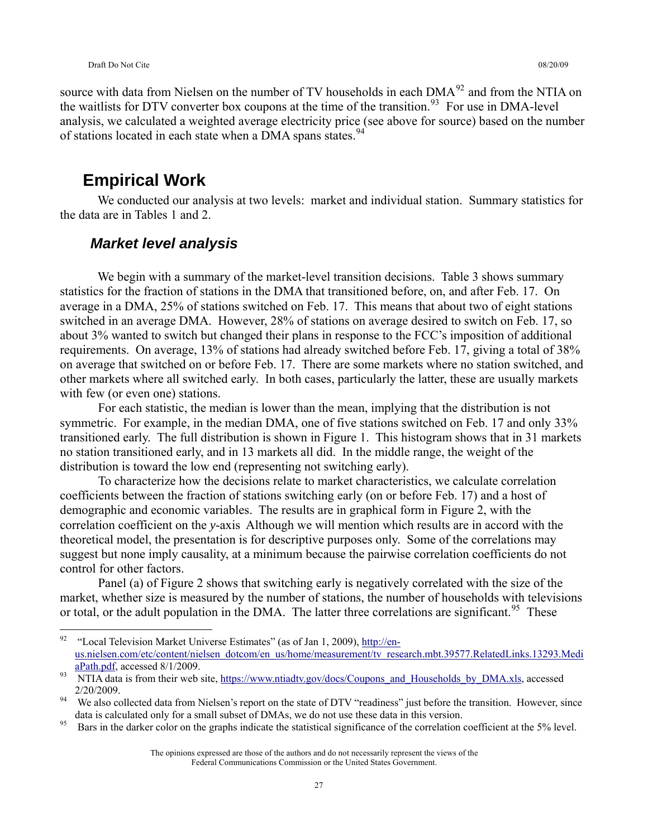source with data from Nielsen on the number of TV households in each DMA<sup>[92](#page-26-0)</sup> and from the NTIA on the waitlists for DTV converter box coupons at the time of the transition.<sup>[93](#page-26-1)</sup> For use in DMA-level analysis, we calculated a weighted average electricity price (see above for source) based on the number of stations located in each state when a DMA spans states.<sup>[94](#page-26-2)</sup>

# **Empirical Work**

 We conducted our analysis at two levels: market and individual station. Summary statistics for the data are in Tables 1 and 2.

### *Market level analysis*

We begin with a summary of the market-level transition decisions. Table 3 shows summary statistics for the fraction of stations in the DMA that transitioned before, on, and after Feb. 17. On average in a DMA, 25% of stations switched on Feb. 17. This means that about two of eight stations switched in an average DMA. However, 28% of stations on average desired to switch on Feb. 17, so about 3% wanted to switch but changed their plans in response to the FCC's imposition of additional requirements. On average, 13% of stations had already switched before Feb. 17, giving a total of 38% on average that switched on or before Feb. 17. There are some markets where no station switched, and other markets where all switched early. In both cases, particularly the latter, these are usually markets with few (or even one) stations.

For each statistic, the median is lower than the mean, implying that the distribution is not symmetric. For example, in the median DMA, one of five stations switched on Feb. 17 and only 33% transitioned early. The full distribution is shown in Figure 1. This histogram shows that in 31 markets no station transitioned early, and in 13 markets all did. In the middle range, the weight of the distribution is toward the low end (representing not switching early).

To characterize how the decisions relate to market characteristics, we calculate correlation coefficients between the fraction of stations switching early (on or before Feb. 17) and a host of demographic and economic variables. The results are in graphical form in Figure 2, with the correlation coefficient on the *y*-axis Although we will mention which results are in accord with the theoretical model, the presentation is for descriptive purposes only. Some of the correlations may suggest but none imply causality, at a minimum because the pairwise correlation coefficients do not control for other factors.

Panel (a) of Figure 2 shows that switching early is negatively correlated with the size of the market, whether size is measured by the number of stations, the number of households with televisions or total, or the adult population in the DMA. The latter three correlations are significant.<sup>[95](#page-26-3)</sup> These

<span id="page-26-0"></span><sup>92</sup> "Local Television Market Universe Estimates" (as of Jan 1, 2009), [http://en](http://en-us.nielsen.com/etc/content/nielsen_dotcom/en_us/home/measurement/tv_research.mbt.39577.RelatedLinks.13293.MediaPath.pdf)[us.nielsen.com/etc/content/nielsen\\_dotcom/en\\_us/home/measurement/tv\\_research.mbt.39577.RelatedLinks.13293.Medi](http://en-us.nielsen.com/etc/content/nielsen_dotcom/en_us/home/measurement/tv_research.mbt.39577.RelatedLinks.13293.MediaPath.pdf)<br>aPath.pdf, accessed 8/1/2009.

<span id="page-26-1"></span> $\frac{93}{93}$  NTIA data is from their web site, [https://www.ntiadtv.gov/docs/Coupons\\_and\\_Households\\_by\\_DMA.xls,](https://www.ntiadtv.gov/docs/Coupons_and_Households_by_DMA.xls) accessed  $2/20/2009$ .<br><sup>94</sup> We also collected data from Nielsen's report on the state of DTV "readiness" just before the transition. However, since

<span id="page-26-2"></span>data is calculated only for a small subset of DMAs, we do not use these data in this version.<br><sup>95</sup> Bars in the darker color on the graphs indicate the statistical significance of the correlation coefficient at the 5% level

<span id="page-26-3"></span>

The opinions expressed are those of the authors and do not necessarily represent the views of the Federal Communications Commission or the United States Government.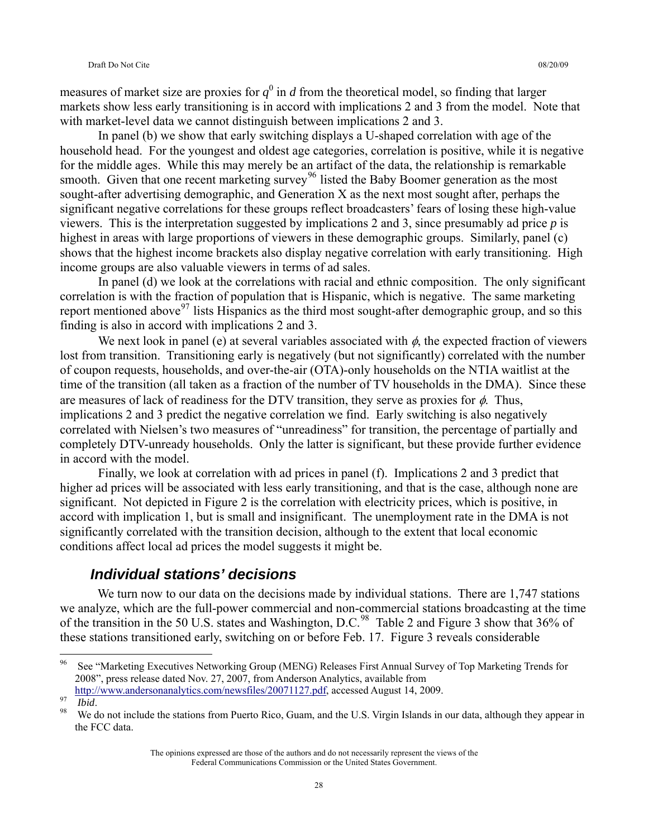measures of market size are proxies for  $q^0$  in *d* from the theoretical model, so finding that larger markets show less early transitioning is in accord with implications 2 and 3 from the model. Note that with market-level data we cannot distinguish between implications 2 and 3.

In panel (b) we show that early switching displays a U-shaped correlation with age of the household head. For the youngest and oldest age categories, correlation is positive, while it is negative for the middle ages. While this may merely be an artifact of the data, the relationship is remarkable smooth. Given that one recent marketing survey<sup>[96](#page-27-0)</sup> listed the Baby Boomer generation as the most sought-after advertising demographic, and Generation X as the next most sought after, perhaps the significant negative correlations for these groups reflect broadcasters' fears of losing these high-value viewers. This is the interpretation suggested by implications 2 and 3, since presumably ad price *p* is highest in areas with large proportions of viewers in these demographic groups. Similarly, panel (c) shows that the highest income brackets also display negative correlation with early transitioning. High income groups are also valuable viewers in terms of ad sales.

In panel (d) we look at the correlations with racial and ethnic composition. The only significant correlation is with the fraction of population that is Hispanic, which is negative. The same marketing report mentioned above<sup>[97](#page-27-1)</sup> lists Hispanics as the third most sought-after demographic group, and so this finding is also in accord with implications 2 and 3.

We next look in panel (e) at several variables associated with  $\phi$ , the expected fraction of viewers lost from transition. Transitioning early is negatively (but not significantly) correlated with the number of coupon requests, households, and over-the-air (OTA)-only households on the NTIA waitlist at the time of the transition (all taken as a fraction of the number of TV households in the DMA). Since these are measures of lack of readiness for the DTV transition, they serve as proxies for  $\phi$ . Thus, implications 2 and 3 predict the negative correlation we find. Early switching is also negatively correlated with Nielsen's two measures of "unreadiness" for transition, the percentage of partially and completely DTV-unready households. Only the latter is significant, but these provide further evidence in accord with the model.

Finally, we look at correlation with ad prices in panel (f). Implications 2 and 3 predict that higher ad prices will be associated with less early transitioning, and that is the case, although none are significant. Not depicted in Figure 2 is the correlation with electricity prices, which is positive, in accord with implication 1, but is small and insignificant. The unemployment rate in the DMA is not significantly correlated with the transition decision, although to the extent that local economic conditions affect local ad prices the model suggests it might be.

### *Individual stations' decisions*

We turn now to our data on the decisions made by individual stations. There are 1,747 stations we analyze, which are the full-power commercial and non-commercial stations broadcasting at the time of the transition in the 50 U.S. states and Washington, D.C.<sup>[98](#page-27-2)</sup> Table 2 and Figure 3 show that 36% of these stations transitioned early, switching on or before Feb. 17. Figure 3 reveals considerable

<span id="page-27-0"></span><sup>96</sup> 96 See "Marketing Executives Networking Group (MENG) Releases First Annual Survey of Top Marketing Trends for 2008", press release dated Nov. 27, 2007, from Anderson Analytics, available from

<span id="page-27-2"></span><span id="page-27-1"></span>

<http://www.andersonanalytics.com/newsfiles/20071127.pdf>, accessed August 14, 2009.<br><sup>97</sup> *Ibid.* 98 We do not include the stations from Puerto Rico, Guam, and the U.S. Virgin Islands in our data, although they appear in the FCC data.

The opinions expressed are those of the authors and do not necessarily represent the views of the Federal Communications Commission or the United States Government.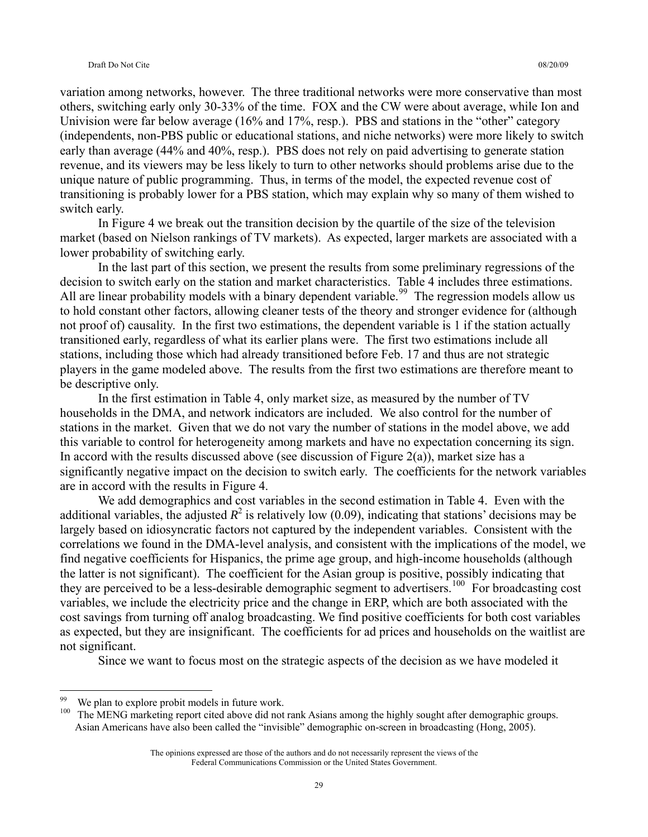variation among networks, however. The three traditional networks were more conservative than most others, switching early only 30-33% of the time. FOX and the CW were about average, while Ion and Univision were far below average (16% and 17%, resp.). PBS and stations in the "other" category (independents, non-PBS public or educational stations, and niche networks) were more likely to switch early than average (44% and 40%, resp.). PBS does not rely on paid advertising to generate station revenue, and its viewers may be less likely to turn to other networks should problems arise due to the unique nature of public programming. Thus, in terms of the model, the expected revenue cost of transitioning is probably lower for a PBS station, which may explain why so many of them wished to switch early.

In Figure 4 we break out the transition decision by the quartile of the size of the television market (based on Nielson rankings of TV markets). As expected, larger markets are associated with a lower probability of switching early.

In the last part of this section, we present the results from some preliminary regressions of the decision to switch early on the station and market characteristics. Table 4 includes three estimations. All are linear probability models with a binary dependent variable.<sup>[99](#page-28-0)</sup> The regression models allow us to hold constant other factors, allowing cleaner tests of the theory and stronger evidence for (although not proof of) causality. In the first two estimations, the dependent variable is 1 if the station actually transitioned early, regardless of what its earlier plans were. The first two estimations include all stations, including those which had already transitioned before Feb. 17 and thus are not strategic players in the game modeled above. The results from the first two estimations are therefore meant to be descriptive only.

In the first estimation in Table 4, only market size, as measured by the number of TV households in the DMA, and network indicators are included. We also control for the number of stations in the market. Given that we do not vary the number of stations in the model above, we add this variable to control for heterogeneity among markets and have no expectation concerning its sign. In accord with the results discussed above (see discussion of Figure  $2(a)$ ), market size has a significantly negative impact on the decision to switch early. The coefficients for the network variables are in accord with the results in Figure 4.

We add demographics and cost variables in the second estimation in Table 4. Even with the additional variables, the adjusted  $R^2$  is relatively low (0.09), indicating that stations' decisions may be largely based on idiosyncratic factors not captured by the independent variables. Consistent with the correlations we found in the DMA-level analysis, and consistent with the implications of the model, we find negative coefficients for Hispanics, the prime age group, and high-income households (although the latter is not significant). The coefficient for the Asian group is positive, possibly indicating that they are perceived to be a less-desirable demographic segment to advertisers.<sup>[100](#page-28-1)</sup> For broadcasting cost variables, we include the electricity price and the change in ERP, which are both associated with the cost savings from turning off analog broadcasting. We find positive coefficients for both cost variables as expected, but they are insignificant. The coefficients for ad prices and households on the waitlist are not significant.

Since we want to focus most on the strategic aspects of the decision as we have modeled it

 $\overline{a}$ 

<span id="page-28-1"></span><span id="page-28-0"></span><sup>&</sup>lt;sup>99</sup> We plan to explore probit models in future work.<br><sup>100</sup> The MENG merketing report eited above did not

The MENG marketing report cited above did not rank Asians among the highly sought after demographic groups. Asian Americans have also been called the "invisible" demographic on-screen in broadcasting (Hong, 2005).

The opinions expressed are those of the authors and do not necessarily represent the views of the Federal Communications Commission or the United States Government.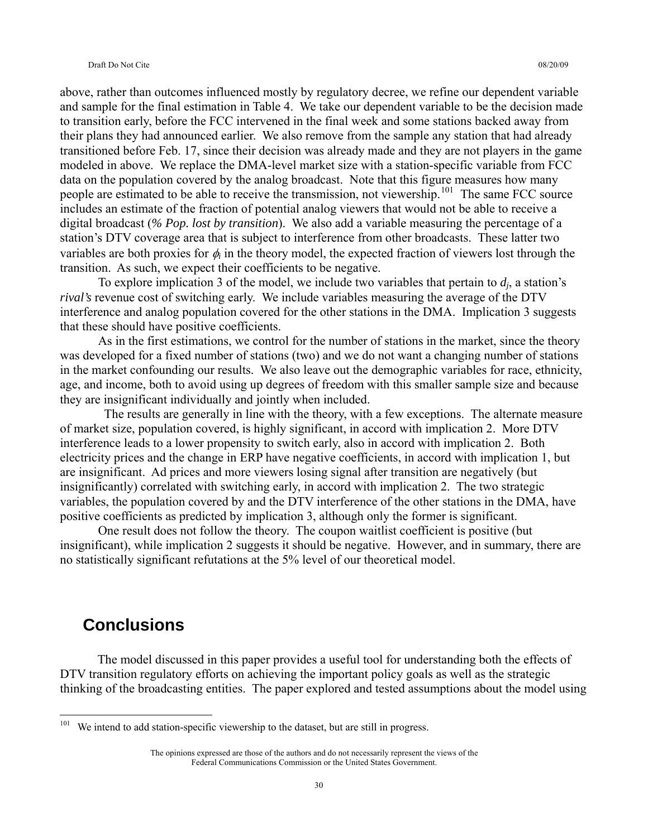above, rather than outcomes influenced mostly by regulatory decree, we refine our dependent variable and sample for the final estimation in Table 4. We take our dependent variable to be the decision made to transition early, before the FCC intervened in the final week and some stations backed away from their plans they had announced earlier. We also remove from the sample any station that had already transitioned before Feb. 17, since their decision was already made and they are not players in the game modeled in above. We replace the DMA-level market size with a station-specific variable from FCC data on the population covered by the analog broadcast. Note that this figure measures how many people are estimated to be able to receive the transmission, not viewership.<sup>[101](#page-29-0)</sup> The same FCC source includes an estimate of the fraction of potential analog viewers that would not be able to receive a digital broadcast (*% Pop. lost by transition*). We also add a variable measuring the percentage of a station's DTV coverage area that is subject to interference from other broadcasts. These latter two variables are both proxies for φ*i* in the theory model, the expected fraction of viewers lost through the transition. As such, we expect their coefficients to be negative.

To explore implication 3 of the model, we include two variables that pertain to *dj*, a station's *rival's* revenue cost of switching early. We include variables measuring the average of the DTV interference and analog population covered for the other stations in the DMA. Implication 3 suggests that these should have positive coefficients.

As in the first estimations, we control for the number of stations in the market, since the theory was developed for a fixed number of stations (two) and we do not want a changing number of stations in the market confounding our results. We also leave out the demographic variables for race, ethnicity, age, and income, both to avoid using up degrees of freedom with this smaller sample size and because they are insignificant individually and jointly when included.

 The results are generally in line with the theory, with a few exceptions. The alternate measure of market size, population covered, is highly significant, in accord with implication 2. More DTV interference leads to a lower propensity to switch early, also in accord with implication 2. Both electricity prices and the change in ERP have negative coefficients, in accord with implication 1, but are insignificant. Ad prices and more viewers losing signal after transition are negatively (but insignificantly) correlated with switching early, in accord with implication 2. The two strategic variables, the population covered by and the DTV interference of the other stations in the DMA, have positive coefficients as predicted by implication 3, although only the former is significant.

One result does not follow the theory. The coupon waitlist coefficient is positive (but insignificant), while implication 2 suggests it should be negative. However, and in summary, there are no statistically significant refutations at the 5% level of our theoretical model.

# **Conclusions**

 $\overline{a}$ 

 The model discussed in this paper provides a useful tool for understanding both the effects of DTV transition regulatory efforts on achieving the important policy goals as well as the strategic thinking of the broadcasting entities. The paper explored and tested assumptions about the model using

<span id="page-29-0"></span> $101$  We intend to add station-specific viewership to the dataset, but are still in progress.

The opinions expressed are those of the authors and do not necessarily represent the views of the Federal Communications Commission or the United States Government.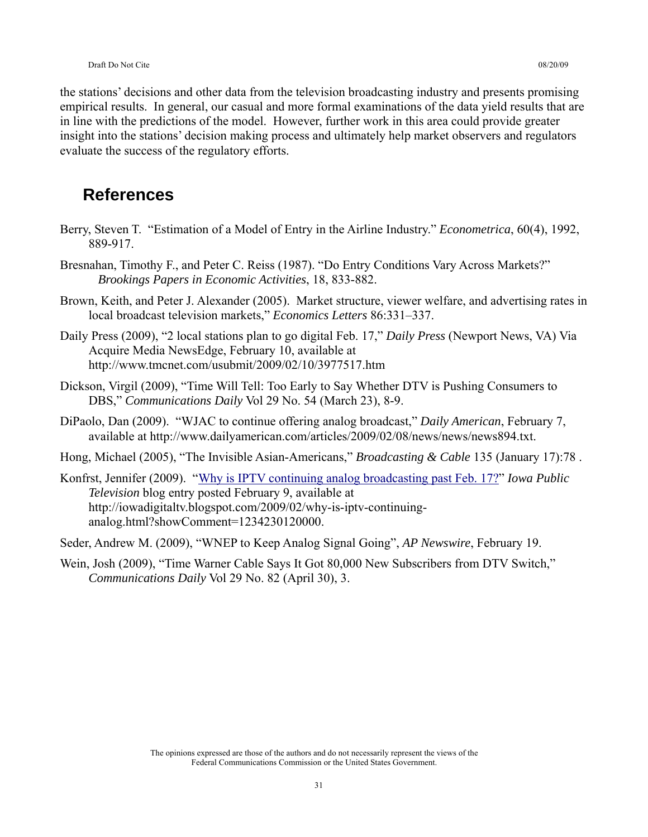the stations' decisions and other data from the television broadcasting industry and presents promising empirical results. In general, our casual and more formal examinations of the data yield results that are in line with the predictions of the model. However, further work in this area could provide greater insight into the stations' decision making process and ultimately help market observers and regulators evaluate the success of the regulatory efforts.

# **References**

- Berry, Steven T. "Estimation of a Model of Entry in the Airline Industry." *Econometrica*, 60(4), 1992, 889-917.
- Bresnahan, Timothy F., and Peter C. Reiss (1987). "Do Entry Conditions Vary Across Markets?" *Brookings Papers in Economic Activities*, 18, 833-882.
- Brown, Keith, and Peter J. Alexander (2005). Market structure, viewer welfare, and advertising rates in local broadcast television markets," *Economics Letters* 86:331–337.
- Daily Press (2009), "2 local stations plan to go digital Feb. 17," *Daily Press* (Newport News, VA) Via Acquire Media NewsEdge, February 10, available at http://www.tmcnet.com/usubmit/2009/02/10/3977517.htm
- Dickson, Virgil (2009), "Time Will Tell: Too Early to Say Whether DTV is Pushing Consumers to DBS," *Communications Daily* Vol 29 No. 54 (March 23), 8-9.
- DiPaolo, Dan (2009). "WJAC to continue offering analog broadcast," *Daily American*, February 7, available at http://www.dailyamerican.com/articles/2009/02/08/news/news/news894.txt.
- Hong, Michael (2005), "The Invisible Asian-Americans," *Broadcasting & Cable* 135 (January 17):78 .
- Konfrst, Jennifer (2009). ["Why is IPTV continuing analog broadcasting past Feb. 17?](http://iowadigitaltv.blogspot.com/2009/02/why-is-iptv-continuing-analog.html)" *Iowa Public Television* blog entry posted February 9, available at http://iowadigitaltv.blogspot.com/2009/02/why-is-iptv-continuinganalog.html?showComment=1234230120000.
- Seder, Andrew M. (2009), "WNEP to Keep Analog Signal Going", *AP Newswire*, February 19.
- Wein, Josh (2009), "Time Warner Cable Says It Got 80,000 New Subscribers from DTV Switch," *Communications Daily* Vol 29 No. 82 (April 30), 3.

The opinions expressed are those of the authors and do not necessarily represent the views of the Federal Communications Commission or the United States Government.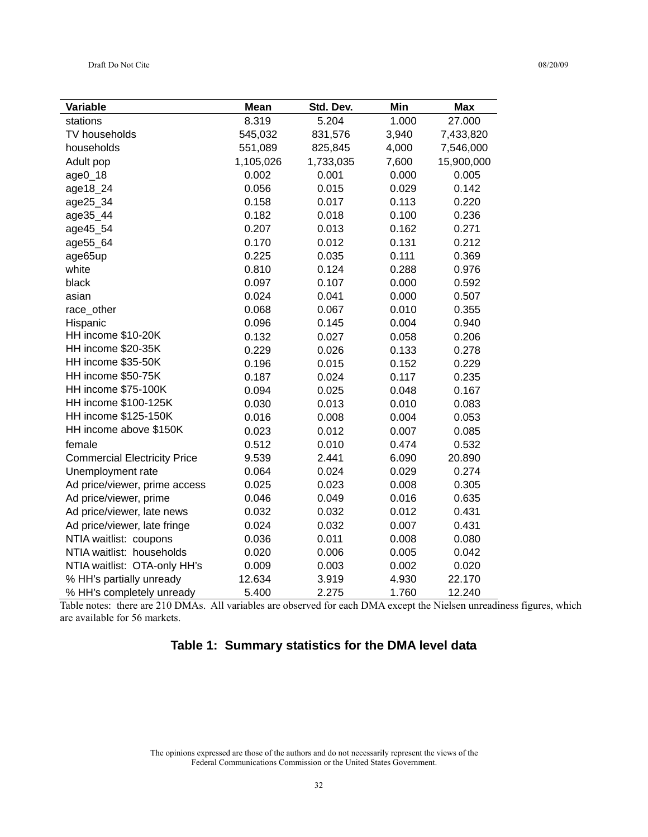| Variable                            | <b>Mean</b> | Std. Dev. | Min   | <b>Max</b> |
|-------------------------------------|-------------|-----------|-------|------------|
| stations                            | 8.319       | 5.204     | 1.000 | 27.000     |
| TV households                       | 545,032     | 831,576   | 3,940 | 7,433,820  |
| households                          | 551,089     | 825,845   | 4,000 | 7,546,000  |
| Adult pop                           | 1,105,026   | 1,733,035 | 7,600 | 15,900,000 |
| $age0_18$                           | 0.002       | 0.001     | 0.000 | 0.005      |
| age18_24                            | 0.056       | 0.015     | 0.029 | 0.142      |
| age25_34                            | 0.158       | 0.017     | 0.113 | 0.220      |
| age35_44                            | 0.182       | 0.018     | 0.100 | 0.236      |
| age45_54                            | 0.207       | 0.013     | 0.162 | 0.271      |
| age55_64                            | 0.170       | 0.012     | 0.131 | 0.212      |
| age65up                             | 0.225       | 0.035     | 0.111 | 0.369      |
| white                               | 0.810       | 0.124     | 0.288 | 0.976      |
| black                               | 0.097       | 0.107     | 0.000 | 0.592      |
| asian                               | 0.024       | 0.041     | 0.000 | 0.507      |
| race_other                          | 0.068       | 0.067     | 0.010 | 0.355      |
| Hispanic                            | 0.096       | 0.145     | 0.004 | 0.940      |
| HH income \$10-20K                  | 0.132       | 0.027     | 0.058 | 0.206      |
| HH income \$20-35K                  | 0.229       | 0.026     | 0.133 | 0.278      |
| HH income \$35-50K                  | 0.196       | 0.015     | 0.152 | 0.229      |
| HH income \$50-75K                  | 0.187       | 0.024     | 0.117 | 0.235      |
| HH income \$75-100K                 | 0.094       | 0.025     | 0.048 | 0.167      |
| HH income \$100-125K                | 0.030       | 0.013     | 0.010 | 0.083      |
| HH income \$125-150K                | 0.016       | 0.008     | 0.004 | 0.053      |
| HH income above \$150K              | 0.023       | 0.012     | 0.007 | 0.085      |
| female                              | 0.512       | 0.010     | 0.474 | 0.532      |
| <b>Commercial Electricity Price</b> | 9.539       | 2.441     | 6.090 | 20.890     |
| Unemployment rate                   | 0.064       | 0.024     | 0.029 | 0.274      |
| Ad price/viewer, prime access       | 0.025       | 0.023     | 0.008 | 0.305      |
| Ad price/viewer, prime              | 0.046       | 0.049     | 0.016 | 0.635      |
| Ad price/viewer, late news          | 0.032       | 0.032     | 0.012 | 0.431      |
| Ad price/viewer, late fringe        | 0.024       | 0.032     | 0.007 | 0.431      |
| NTIA waitlist: coupons              | 0.036       | 0.011     | 0.008 | 0.080      |
| NTIA waitlist: households           | 0.020       | 0.006     | 0.005 | 0.042      |
| NTIA waitlist: OTA-only HH's        | 0.009       | 0.003     | 0.002 | 0.020      |
| % HH's partially unready            | 12.634      | 3.919     | 4.930 | 22.170     |
| % HH's completely unready           | 5.400       | 2.275     | 1.760 | 12.240     |

Table notes: there are 210 DMAs. All variables are observed for each DMA except the Nielsen unreadiness figures, which are available for 56 markets.

### **Table 1: Summary statistics for the DMA level data**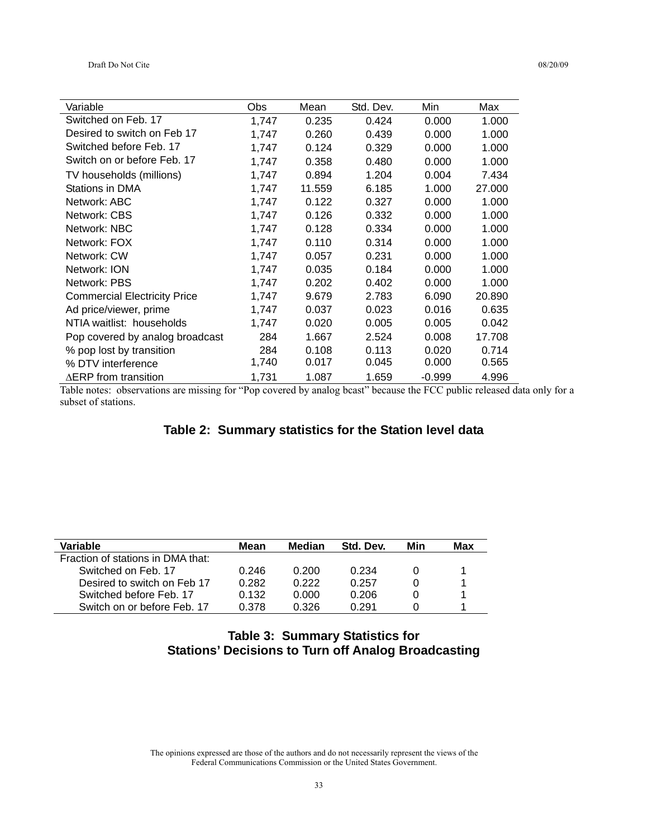| Variable                            | Obs   | Mean   | Std. Dev. | Min      | Max    |
|-------------------------------------|-------|--------|-----------|----------|--------|
| Switched on Feb. 17                 | 1,747 | 0.235  | 0.424     | 0.000    | 1.000  |
| Desired to switch on Feb 17         | 1,747 | 0.260  | 0.439     | 0.000    | 1.000  |
| Switched before Feb. 17             | 1,747 | 0.124  | 0.329     | 0.000    | 1.000  |
| Switch on or before Feb. 17         | 1,747 | 0.358  | 0.480     | 0.000    | 1.000  |
| TV households (millions)            | 1,747 | 0.894  | 1.204     | 0.004    | 7.434  |
| Stations in DMA                     | 1,747 | 11.559 | 6.185     | 1.000    | 27.000 |
| Network: ABC                        | 1,747 | 0.122  | 0.327     | 0.000    | 1.000  |
| Network: CBS                        | 1,747 | 0.126  | 0.332     | 0.000    | 1.000  |
| Network: NBC                        | 1,747 | 0.128  | 0.334     | 0.000    | 1.000  |
| Network: FOX                        | 1,747 | 0.110  | 0.314     | 0.000    | 1.000  |
| Network: CW                         | 1,747 | 0.057  | 0.231     | 0.000    | 1.000  |
| Network: ION                        | 1,747 | 0.035  | 0.184     | 0.000    | 1.000  |
| Network: PBS                        | 1,747 | 0.202  | 0.402     | 0.000    | 1.000  |
| <b>Commercial Electricity Price</b> | 1,747 | 9.679  | 2.783     | 6.090    | 20.890 |
| Ad price/viewer, prime              | 1,747 | 0.037  | 0.023     | 0.016    | 0.635  |
| NTIA waitlist: households           | 1,747 | 0.020  | 0.005     | 0.005    | 0.042  |
| Pop covered by analog broadcast     | 284   | 1.667  | 2.524     | 0.008    | 17.708 |
| % pop lost by transition            | 284   | 0.108  | 0.113     | 0.020    | 0.714  |
| % DTV interference                  | 1,740 | 0.017  | 0.045     | 0.000    | 0.565  |
| $\triangle$ ERP from transition     | 1,731 | 1.087  | 1.659     | $-0.999$ | 4.996  |

Table notes: observations are missing for "Pop covered by analog bcast" because the FCC public released data only for a subset of stations.

### **Table 2: Summary statistics for the Station level data**

| Variable                          | Mean  | Median | Std. Dev. | Min | Max |
|-----------------------------------|-------|--------|-----------|-----|-----|
| Fraction of stations in DMA that: |       |        |           |     |     |
| Switched on Feb. 17               | 0.246 | 0.200  | 0.234     |     |     |
| Desired to switch on Feb 17       | 0.282 | 0.222  | 0.257     |     |     |
| Switched before Feb. 17           | 0.132 | 0.000  | 0.206     |     |     |
| Switch on or before Feb. 17       | 0.378 | 0.326  | በ 291     |     |     |

### **Table 3: Summary Statistics for Stations' Decisions to Turn off Analog Broadcasting**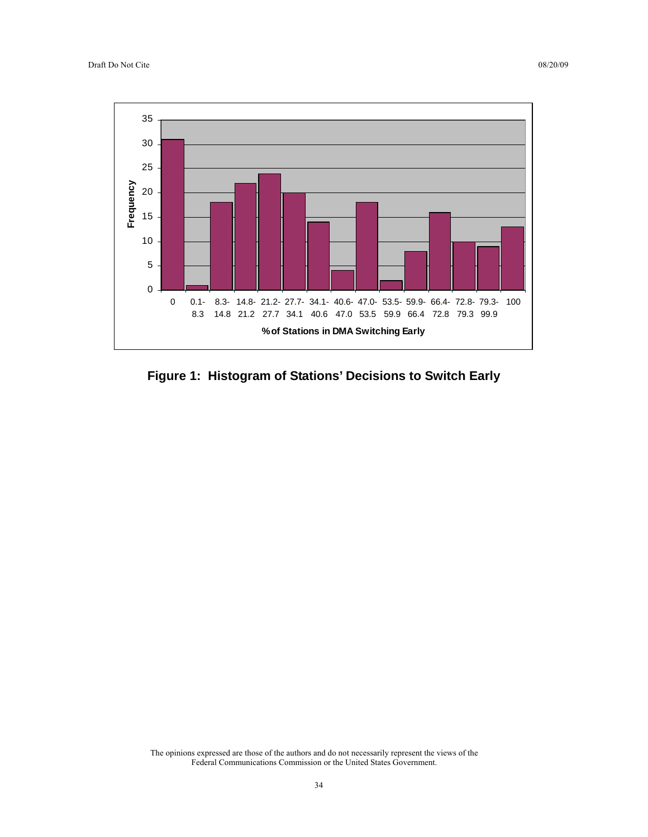

**Figure 1: Histogram of Stations' Decisions to Switch Early**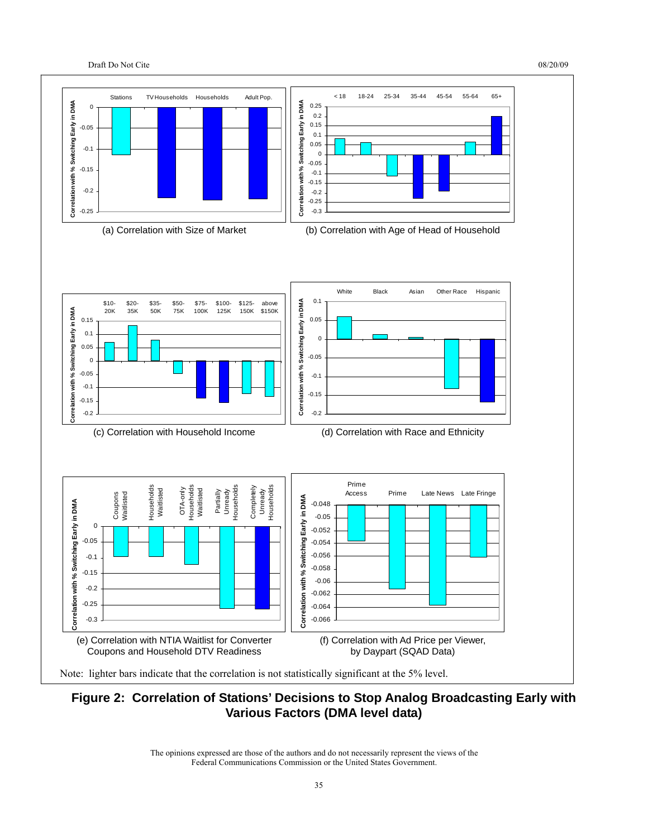



### **Figure 2: Correlation of Stations' Decisions to Stop Analog Broadcasting Early with Various Factors (DMA level data)**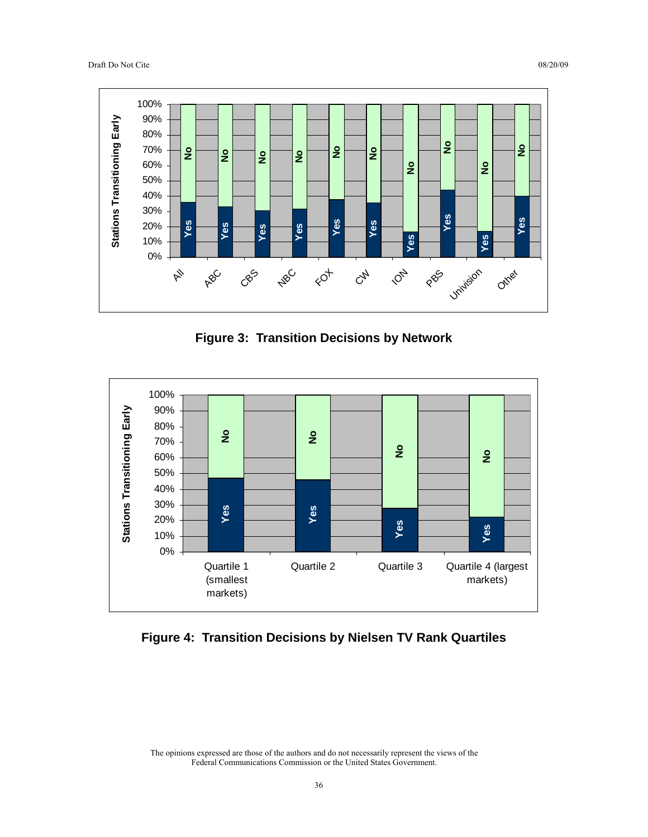

**Figure 3: Transition Decisions by Network** 



**Figure 4: Transition Decisions by Nielsen TV Rank Quartiles**